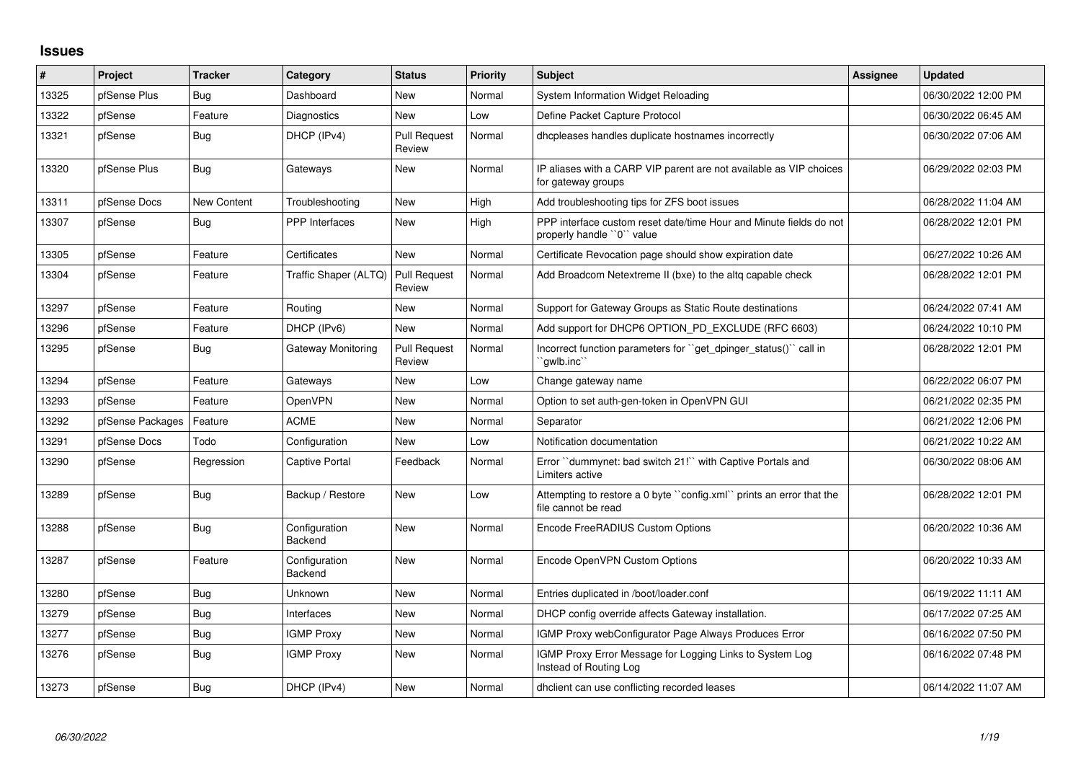## **Issues**

| #     | Project          | <b>Tracker</b>     | Category                 | <b>Status</b>                 | <b>Priority</b> | <b>Subject</b>                                                                                  | Assignee | <b>Updated</b>      |
|-------|------------------|--------------------|--------------------------|-------------------------------|-----------------|-------------------------------------------------------------------------------------------------|----------|---------------------|
| 13325 | pfSense Plus     | Bug                | Dashboard                | New                           | Normal          | System Information Widget Reloading                                                             |          | 06/30/2022 12:00 PM |
| 13322 | pfSense          | Feature            | Diagnostics              | New                           | Low             | Define Packet Capture Protocol                                                                  |          | 06/30/2022 06:45 AM |
| 13321 | pfSense          | Bug                | DHCP (IPv4)              | <b>Pull Request</b><br>Review | Normal          | dhcpleases handles duplicate hostnames incorrectly                                              |          | 06/30/2022 07:06 AM |
| 13320 | pfSense Plus     | Bug                | Gateways                 | New                           | Normal          | IP aliases with a CARP VIP parent are not available as VIP choices<br>for gateway groups        |          | 06/29/2022 02:03 PM |
| 13311 | pfSense Docs     | <b>New Content</b> | Troubleshooting          | New                           | High            | Add troubleshooting tips for ZFS boot issues                                                    |          | 06/28/2022 11:04 AM |
| 13307 | pfSense          | Bug                | PPP Interfaces           | <b>New</b>                    | High            | PPP interface custom reset date/time Hour and Minute fields do not<br>properly handle "0" value |          | 06/28/2022 12:01 PM |
| 13305 | pfSense          | Feature            | Certificates             | <b>New</b>                    | Normal          | Certificate Revocation page should show expiration date                                         |          | 06/27/2022 10:26 AM |
| 13304 | pfSense          | Feature            | Traffic Shaper (ALTQ)    | <b>Pull Request</b><br>Review | Normal          | Add Broadcom Netextreme II (bxe) to the altg capable check                                      |          | 06/28/2022 12:01 PM |
| 13297 | pfSense          | Feature            | Routing                  | <b>New</b>                    | Normal          | Support for Gateway Groups as Static Route destinations                                         |          | 06/24/2022 07:41 AM |
| 13296 | pfSense          | Feature            | DHCP (IPv6)              | <b>New</b>                    | Normal          | Add support for DHCP6 OPTION_PD_EXCLUDE (RFC 6603)                                              |          | 06/24/2022 10:10 PM |
| 13295 | pfSense          | Bug                | Gateway Monitoring       | <b>Pull Request</b><br>Review | Normal          | Incorrect function parameters for "get dpinger status()" call in<br>`qwlb.inc``                 |          | 06/28/2022 12:01 PM |
| 13294 | pfSense          | Feature            | Gateways                 | <b>New</b>                    | Low             | Change gateway name                                                                             |          | 06/22/2022 06:07 PM |
| 13293 | pfSense          | Feature            | OpenVPN                  | <b>New</b>                    | Normal          | Option to set auth-gen-token in OpenVPN GUI                                                     |          | 06/21/2022 02:35 PM |
| 13292 | pfSense Packages | Feature            | <b>ACME</b>              | <b>New</b>                    | Normal          | Separator                                                                                       |          | 06/21/2022 12:06 PM |
| 13291 | pfSense Docs     | Todo               | Configuration            | <b>New</b>                    | Low             | Notification documentation                                                                      |          | 06/21/2022 10:22 AM |
| 13290 | pfSense          | Regression         | <b>Captive Portal</b>    | Feedback                      | Normal          | Error ``dummynet: bad switch 21!`` with Captive Portals and<br>Limiters active                  |          | 06/30/2022 08:06 AM |
| 13289 | pfSense          | Bug                | Backup / Restore         | New                           | Low             | Attempting to restore a 0 byte "config.xml" prints an error that the<br>file cannot be read     |          | 06/28/2022 12:01 PM |
| 13288 | pfSense          | Bug                | Configuration<br>Backend | <b>New</b>                    | Normal          | Encode FreeRADIUS Custom Options                                                                |          | 06/20/2022 10:36 AM |
| 13287 | pfSense          | Feature            | Configuration<br>Backend | <b>New</b>                    | Normal          | Encode OpenVPN Custom Options                                                                   |          | 06/20/2022 10:33 AM |
| 13280 | pfSense          | Bug                | Unknown                  | <b>New</b>                    | Normal          | Entries duplicated in /boot/loader.conf                                                         |          | 06/19/2022 11:11 AM |
| 13279 | pfSense          | Bug                | Interfaces               | New                           | Normal          | DHCP config override affects Gateway installation.                                              |          | 06/17/2022 07:25 AM |
| 13277 | pfSense          | Bug                | <b>IGMP Proxy</b>        | <b>New</b>                    | Normal          | IGMP Proxy webConfigurator Page Always Produces Error                                           |          | 06/16/2022 07:50 PM |
| 13276 | pfSense          | Bug                | <b>IGMP Proxy</b>        | New                           | Normal          | IGMP Proxy Error Message for Logging Links to System Log<br>Instead of Routing Log              |          | 06/16/2022 07:48 PM |
| 13273 | pfSense          | <b>Bug</b>         | DHCP (IPv4)              | New                           | Normal          | dholient can use conflicting recorded leases                                                    |          | 06/14/2022 11:07 AM |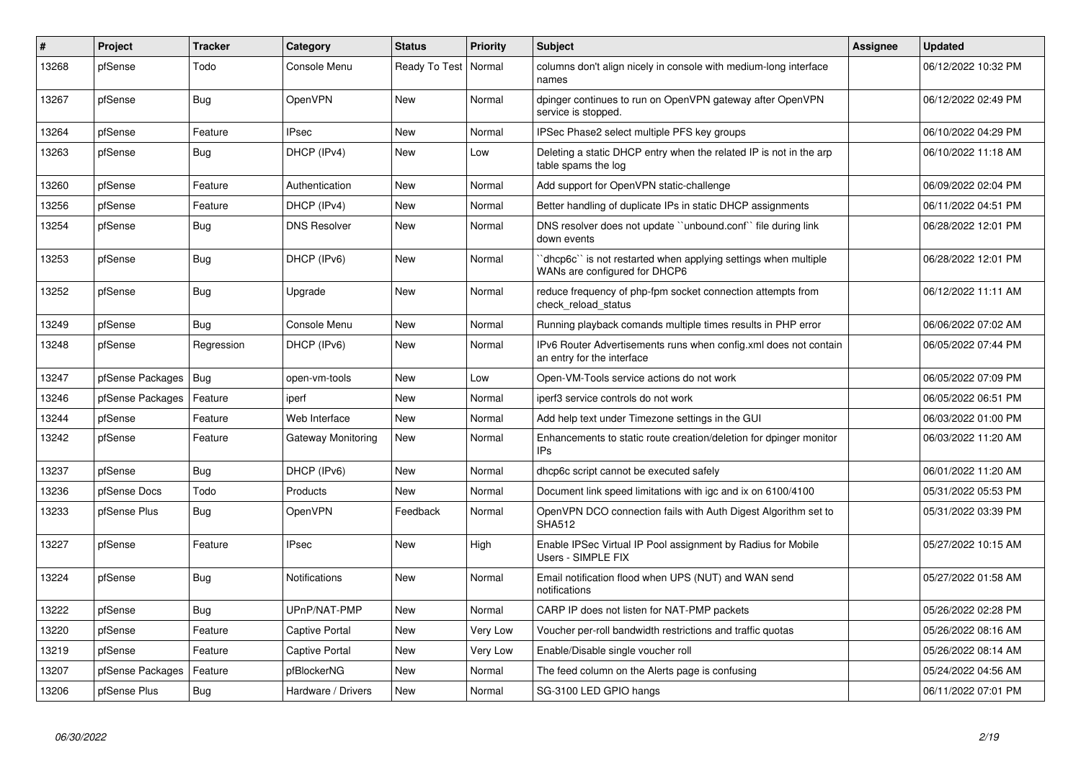| #     | Project          | <b>Tracker</b> | Category             | <b>Status</b>          | <b>Priority</b> | <b>Subject</b>                                                                                 | <b>Assignee</b> | <b>Updated</b>      |
|-------|------------------|----------------|----------------------|------------------------|-----------------|------------------------------------------------------------------------------------------------|-----------------|---------------------|
| 13268 | pfSense          | Todo           | Console Menu         | Ready To Test   Normal |                 | columns don't align nicely in console with medium-long interface<br>names                      |                 | 06/12/2022 10:32 PM |
| 13267 | pfSense          | <b>Bug</b>     | OpenVPN              | New                    | Normal          | dpinger continues to run on OpenVPN gateway after OpenVPN<br>service is stopped.               |                 | 06/12/2022 02:49 PM |
| 13264 | pfSense          | Feature        | <b>IPsec</b>         | New                    | Normal          | IPSec Phase2 select multiple PFS key groups                                                    |                 | 06/10/2022 04:29 PM |
| 13263 | pfSense          | Bug            | DHCP (IPv4)          | New                    | Low             | Deleting a static DHCP entry when the related IP is not in the arp<br>table spams the log      |                 | 06/10/2022 11:18 AM |
| 13260 | pfSense          | Feature        | Authentication       | <b>New</b>             | Normal          | Add support for OpenVPN static-challenge                                                       |                 | 06/09/2022 02:04 PM |
| 13256 | pfSense          | Feature        | DHCP (IPv4)          | New                    | Normal          | Better handling of duplicate IPs in static DHCP assignments                                    |                 | 06/11/2022 04:51 PM |
| 13254 | pfSense          | Bug            | <b>DNS Resolver</b>  | New                    | Normal          | DNS resolver does not update "unbound.conf" file during link<br>down events                    |                 | 06/28/2022 12:01 PM |
| 13253 | pfSense          | Bug            | DHCP (IPv6)          | New                    | Normal          | dhcp6c" is not restarted when applying settings when multiple<br>WANs are configured for DHCP6 |                 | 06/28/2022 12:01 PM |
| 13252 | pfSense          | <b>Bug</b>     | Upgrade              | <b>New</b>             | Normal          | reduce frequency of php-fpm socket connection attempts from<br>check reload status             |                 | 06/12/2022 11:11 AM |
| 13249 | pfSense          | Bug            | Console Menu         | <b>New</b>             | Normal          | Running playback comands multiple times results in PHP error                                   |                 | 06/06/2022 07:02 AM |
| 13248 | pfSense          | Regression     | DHCP (IPv6)          | <b>New</b>             | Normal          | IPv6 Router Advertisements runs when config.xml does not contain<br>an entry for the interface |                 | 06/05/2022 07:44 PM |
| 13247 | pfSense Packages | Bug            | open-vm-tools        | <b>New</b>             | Low             | Open-VM-Tools service actions do not work                                                      |                 | 06/05/2022 07:09 PM |
| 13246 | pfSense Packages | Feature        | iperf                | <b>New</b>             | Normal          | iperf3 service controls do not work                                                            |                 | 06/05/2022 06:51 PM |
| 13244 | pfSense          | Feature        | Web Interface        | <b>New</b>             | Normal          | Add help text under Timezone settings in the GUI                                               |                 | 06/03/2022 01:00 PM |
| 13242 | pfSense          | Feature        | Gateway Monitoring   | New                    | Normal          | Enhancements to static route creation/deletion for dpinger monitor<br>IP <sub>s</sub>          |                 | 06/03/2022 11:20 AM |
| 13237 | pfSense          | <b>Bug</b>     | DHCP (IPv6)          | <b>New</b>             | Normal          | dhcp6c script cannot be executed safely                                                        |                 | 06/01/2022 11:20 AM |
| 13236 | pfSense Docs     | Todo           | Products             | New                    | Normal          | Document link speed limitations with igc and ix on 6100/4100                                   |                 | 05/31/2022 05:53 PM |
| 13233 | pfSense Plus     | Bug            | <b>OpenVPN</b>       | Feedback               | Normal          | OpenVPN DCO connection fails with Auth Digest Algorithm set to<br><b>SHA512</b>                |                 | 05/31/2022 03:39 PM |
| 13227 | pfSense          | Feature        | <b>IPsec</b>         | <b>New</b>             | High            | Enable IPSec Virtual IP Pool assignment by Radius for Mobile<br>Users - SIMPLE FIX             |                 | 05/27/2022 10:15 AM |
| 13224 | pfSense          | <b>Bug</b>     | <b>Notifications</b> | <b>New</b>             | Normal          | Email notification flood when UPS (NUT) and WAN send<br>notifications                          |                 | 05/27/2022 01:58 AM |
| 13222 | pfSense          | <b>Bug</b>     | UPnP/NAT-PMP         | <b>New</b>             | Normal          | CARP IP does not listen for NAT-PMP packets                                                    |                 | 05/26/2022 02:28 PM |
| 13220 | pfSense          | Feature        | Captive Portal       | New                    | Very Low        | Voucher per-roll bandwidth restrictions and traffic quotas                                     |                 | 05/26/2022 08:16 AM |
| 13219 | pfSense          | Feature        | Captive Portal       | New                    | Very Low        | Enable/Disable single voucher roll                                                             |                 | 05/26/2022 08:14 AM |
| 13207 | pfSense Packages | Feature        | pfBlockerNG          | <b>New</b>             | Normal          | The feed column on the Alerts page is confusing                                                |                 | 05/24/2022 04:56 AM |
| 13206 | pfSense Plus     | <b>Bug</b>     | Hardware / Drivers   | New                    | Normal          | SG-3100 LED GPIO hangs                                                                         |                 | 06/11/2022 07:01 PM |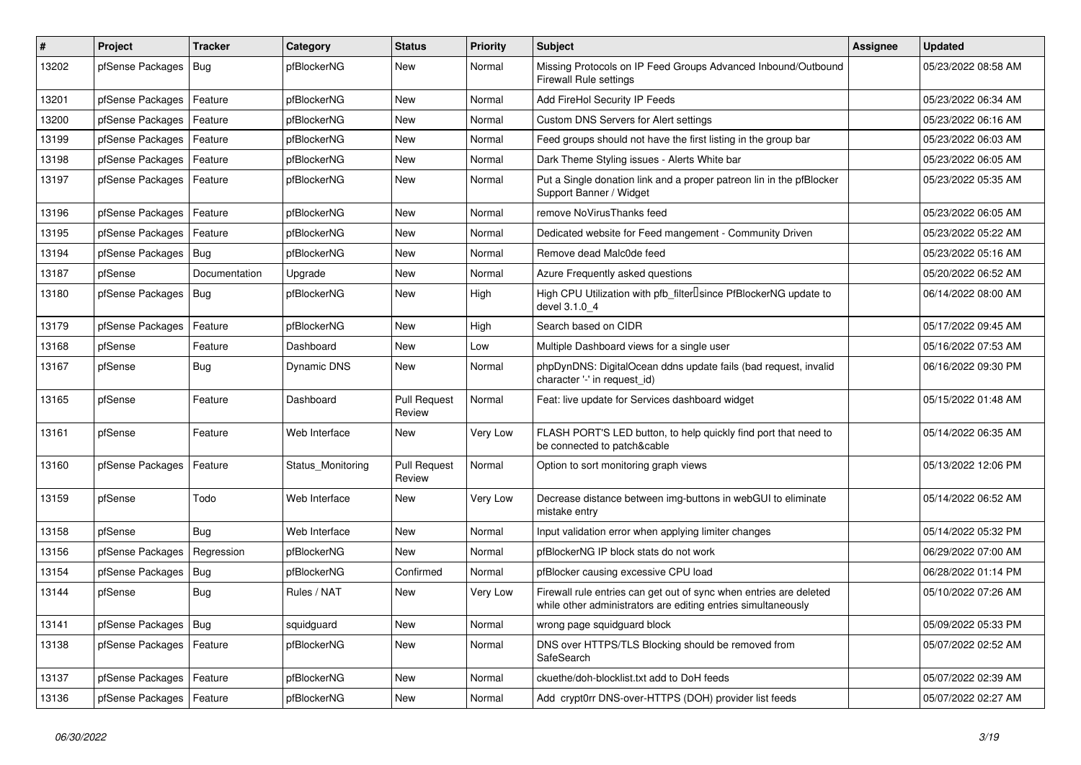| #     | Project                | Tracker       | Category          | <b>Status</b>                 | <b>Priority</b> | <b>Subject</b>                                                                                                                      | Assignee | <b>Updated</b>      |
|-------|------------------------|---------------|-------------------|-------------------------------|-----------------|-------------------------------------------------------------------------------------------------------------------------------------|----------|---------------------|
| 13202 | pfSense Packages       | Bug           | pfBlockerNG       | New                           | Normal          | Missing Protocols on IP Feed Groups Advanced Inbound/Outbound<br><b>Firewall Rule settings</b>                                      |          | 05/23/2022 08:58 AM |
| 13201 | pfSense Packages       | Feature       | pfBlockerNG       | New                           | Normal          | Add FireHol Security IP Feeds                                                                                                       |          | 05/23/2022 06:34 AM |
| 13200 | pfSense Packages       | Feature       | pfBlockerNG       | <b>New</b>                    | Normal          | Custom DNS Servers for Alert settings                                                                                               |          | 05/23/2022 06:16 AM |
| 13199 | pfSense Packages       | Feature       | pfBlockerNG       | <b>New</b>                    | Normal          | Feed groups should not have the first listing in the group bar                                                                      |          | 05/23/2022 06:03 AM |
| 13198 | pfSense Packages       | Feature       | pfBlockerNG       | New                           | Normal          | Dark Theme Styling issues - Alerts White bar                                                                                        |          | 05/23/2022 06:05 AM |
| 13197 | pfSense Packages       | Feature       | pfBlockerNG       | <b>New</b>                    | Normal          | Put a Single donation link and a proper patreon lin in the pfBlocker<br>Support Banner / Widget                                     |          | 05/23/2022 05:35 AM |
| 13196 | pfSense Packages       | Feature       | pfBlockerNG       | <b>New</b>                    | Normal          | remove NoVirusThanks feed                                                                                                           |          | 05/23/2022 06:05 AM |
| 13195 | pfSense Packages       | Feature       | pfBlockerNG       | <b>New</b>                    | Normal          | Dedicated website for Feed mangement - Community Driven                                                                             |          | 05/23/2022 05:22 AM |
| 13194 | pfSense Packages       | Bug           | pfBlockerNG       | New                           | Normal          | Remove dead Malc0de feed                                                                                                            |          | 05/23/2022 05:16 AM |
| 13187 | pfSense                | Documentation | Upgrade           | <b>New</b>                    | Normal          | Azure Frequently asked questions                                                                                                    |          | 05/20/2022 06:52 AM |
| 13180 | pfSense Packages       | Bug           | pfBlockerNG       | <b>New</b>                    | High            | High CPU Utilization with pfb_filter <sup>[]</sup> since PfBlockerNG update to<br>devel 3.1.0 4                                     |          | 06/14/2022 08:00 AM |
| 13179 | pfSense Packages       | Feature       | pfBlockerNG       | <b>New</b>                    | High            | Search based on CIDR                                                                                                                |          | 05/17/2022 09:45 AM |
| 13168 | pfSense                | Feature       | Dashboard         | New                           | Low             | Multiple Dashboard views for a single user                                                                                          |          | 05/16/2022 07:53 AM |
| 13167 | pfSense                | Bug           | Dynamic DNS       | New                           | Normal          | phpDynDNS: DigitalOcean ddns update fails (bad request, invalid<br>character '-' in request_id)                                     |          | 06/16/2022 09:30 PM |
| 13165 | pfSense                | Feature       | Dashboard         | <b>Pull Request</b><br>Review | Normal          | Feat: live update for Services dashboard widget                                                                                     |          | 05/15/2022 01:48 AM |
| 13161 | pfSense                | Feature       | Web Interface     | <b>New</b>                    | Very Low        | FLASH PORT'S LED button, to help quickly find port that need to<br>be connected to patch&cable                                      |          | 05/14/2022 06:35 AM |
| 13160 | pfSense Packages       | Feature       | Status Monitoring | <b>Pull Request</b><br>Review | Normal          | Option to sort monitoring graph views                                                                                               |          | 05/13/2022 12:06 PM |
| 13159 | pfSense                | Todo          | Web Interface     | New                           | Very Low        | Decrease distance between img-buttons in webGUI to eliminate<br>mistake entry                                                       |          | 05/14/2022 06:52 AM |
| 13158 | pfSense                | Bug           | Web Interface     | <b>New</b>                    | Normal          | Input validation error when applying limiter changes                                                                                |          | 05/14/2022 05:32 PM |
| 13156 | pfSense Packages       | Regression    | pfBlockerNG       | <b>New</b>                    | Normal          | pfBlockerNG IP block stats do not work                                                                                              |          | 06/29/2022 07:00 AM |
| 13154 | pfSense Packages       | Bug           | pfBlockerNG       | Confirmed                     | Normal          | pfBlocker causing excessive CPU load                                                                                                |          | 06/28/2022 01:14 PM |
| 13144 | pfSense                | Bug           | Rules / NAT       | New                           | Very Low        | Firewall rule entries can get out of sync when entries are deleted<br>while other administrators are editing entries simultaneously |          | 05/10/2022 07:26 AM |
| 13141 | pfSense Packages   Bug |               | squidguard        | New                           | Normal          | wrong page squidguard block                                                                                                         |          | 05/09/2022 05:33 PM |
| 13138 | pfSense Packages       | Feature       | pfBlockerNG       | New                           | Normal          | DNS over HTTPS/TLS Blocking should be removed from<br>SafeSearch                                                                    |          | 05/07/2022 02:52 AM |
| 13137 | pfSense Packages       | Feature       | pfBlockerNG       | New                           | Normal          | ckuethe/doh-blocklist.txt add to DoH feeds                                                                                          |          | 05/07/2022 02:39 AM |
| 13136 | pfSense Packages       | Feature       | pfBlockerNG       | New                           | Normal          | Add crypt0rr DNS-over-HTTPS (DOH) provider list feeds                                                                               |          | 05/07/2022 02:27 AM |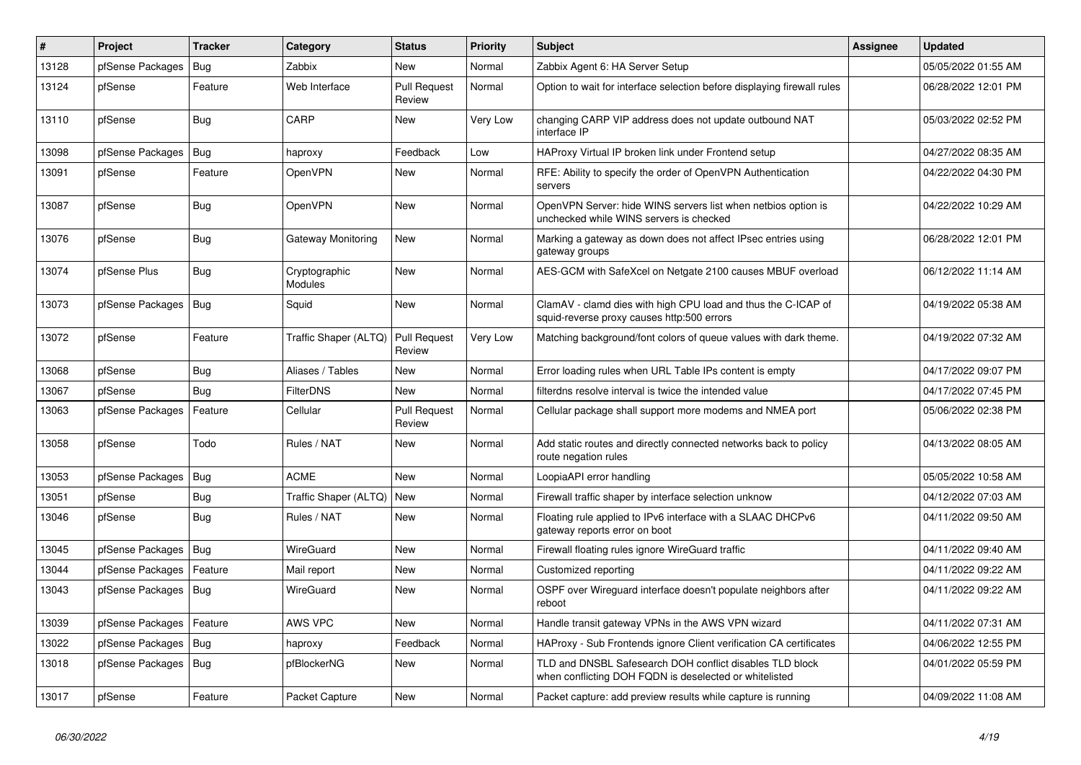| #     | Project                | <b>Tracker</b> | Category                        | <b>Status</b>                 | <b>Priority</b> | <b>Subject</b>                                                                                                     | Assignee | <b>Updated</b>      |
|-------|------------------------|----------------|---------------------------------|-------------------------------|-----------------|--------------------------------------------------------------------------------------------------------------------|----------|---------------------|
| 13128 | pfSense Packages       | Bug            | Zabbix                          | <b>New</b>                    | Normal          | Zabbix Agent 6: HA Server Setup                                                                                    |          | 05/05/2022 01:55 AM |
| 13124 | pfSense                | Feature        | Web Interface                   | <b>Pull Request</b><br>Review | Normal          | Option to wait for interface selection before displaying firewall rules                                            |          | 06/28/2022 12:01 PM |
| 13110 | pfSense                | <b>Bug</b>     | CARP                            | New                           | Very Low        | changing CARP VIP address does not update outbound NAT<br>interface IP                                             |          | 05/03/2022 02:52 PM |
| 13098 | pfSense Packages       | <b>Bug</b>     | haproxy                         | Feedback                      | Low             | HAProxy Virtual IP broken link under Frontend setup                                                                |          | 04/27/2022 08:35 AM |
| 13091 | pfSense                | Feature        | <b>OpenVPN</b>                  | New                           | Normal          | RFE: Ability to specify the order of OpenVPN Authentication<br>servers                                             |          | 04/22/2022 04:30 PM |
| 13087 | pfSense                | <b>Bug</b>     | <b>OpenVPN</b>                  | <b>New</b>                    | Normal          | OpenVPN Server: hide WINS servers list when netbios option is<br>unchecked while WINS servers is checked           |          | 04/22/2022 10:29 AM |
| 13076 | pfSense                | Bug            | Gateway Monitoring              | New                           | Normal          | Marking a gateway as down does not affect IPsec entries using<br>gateway groups                                    |          | 06/28/2022 12:01 PM |
| 13074 | pfSense Plus           | <b>Bug</b>     | Cryptographic<br><b>Modules</b> | New                           | Normal          | AES-GCM with SafeXcel on Netgate 2100 causes MBUF overload                                                         |          | 06/12/2022 11:14 AM |
| 13073 | pfSense Packages   Bug |                | Squid                           | <b>New</b>                    | Normal          | ClamAV - clamd dies with high CPU load and thus the C-ICAP of<br>squid-reverse proxy causes http:500 errors        |          | 04/19/2022 05:38 AM |
| 13072 | pfSense                | Feature        | Traffic Shaper (ALTQ)           | <b>Pull Request</b><br>Review | Very Low        | Matching background/font colors of queue values with dark theme.                                                   |          | 04/19/2022 07:32 AM |
| 13068 | pfSense                | Bug            | Aliases / Tables                | <b>New</b>                    | Normal          | Error loading rules when URL Table IPs content is empty                                                            |          | 04/17/2022 09:07 PM |
| 13067 | pfSense                | Bug            | <b>FilterDNS</b>                | <b>New</b>                    | Normal          | filterdns resolve interval is twice the intended value                                                             |          | 04/17/2022 07:45 PM |
| 13063 | pfSense Packages       | Feature        | Cellular                        | <b>Pull Request</b><br>Review | Normal          | Cellular package shall support more modems and NMEA port                                                           |          | 05/06/2022 02:38 PM |
| 13058 | pfSense                | Todo           | Rules / NAT                     | <b>New</b>                    | Normal          | Add static routes and directly connected networks back to policy<br>route negation rules                           |          | 04/13/2022 08:05 AM |
| 13053 | pfSense Packages       | Bug            | <b>ACME</b>                     | <b>New</b>                    | Normal          | LoopiaAPI error handling                                                                                           |          | 05/05/2022 10:58 AM |
| 13051 | pfSense                | Bug            | Traffic Shaper (ALTQ)           | New                           | Normal          | Firewall traffic shaper by interface selection unknow                                                              |          | 04/12/2022 07:03 AM |
| 13046 | pfSense                | Bug            | Rules / NAT                     | <b>New</b>                    | Normal          | Floating rule applied to IPv6 interface with a SLAAC DHCPv6<br>gateway reports error on boot                       |          | 04/11/2022 09:50 AM |
| 13045 | pfSense Packages       | <b>Bug</b>     | WireGuard                       | <b>New</b>                    | Normal          | Firewall floating rules ignore WireGuard traffic                                                                   |          | 04/11/2022 09:40 AM |
| 13044 | pfSense Packages       | Feature        | Mail report                     | <b>New</b>                    | Normal          | Customized reporting                                                                                               |          | 04/11/2022 09:22 AM |
| 13043 | pfSense Packages       | Bug            | WireGuard                       | <b>New</b>                    | Normal          | OSPF over Wireguard interface doesn't populate neighbors after<br>reboot                                           |          | 04/11/2022 09:22 AM |
| 13039 | pfSense Packages       | Feature        | AWS VPC                         | New                           | Normal          | Handle transit gateway VPNs in the AWS VPN wizard                                                                  |          | 04/11/2022 07:31 AM |
| 13022 | pfSense Packages       | Bug            | haproxy                         | Feedback                      | Normal          | HAProxy - Sub Frontends ignore Client verification CA certificates                                                 |          | 04/06/2022 12:55 PM |
| 13018 | pfSense Packages   Bug |                | pfBlockerNG                     | New                           | Normal          | TLD and DNSBL Safesearch DOH conflict disables TLD block<br>when conflicting DOH FQDN is deselected or whitelisted |          | 04/01/2022 05:59 PM |
| 13017 | pfSense                | Feature        | Packet Capture                  | New                           | Normal          | Packet capture: add preview results while capture is running                                                       |          | 04/09/2022 11:08 AM |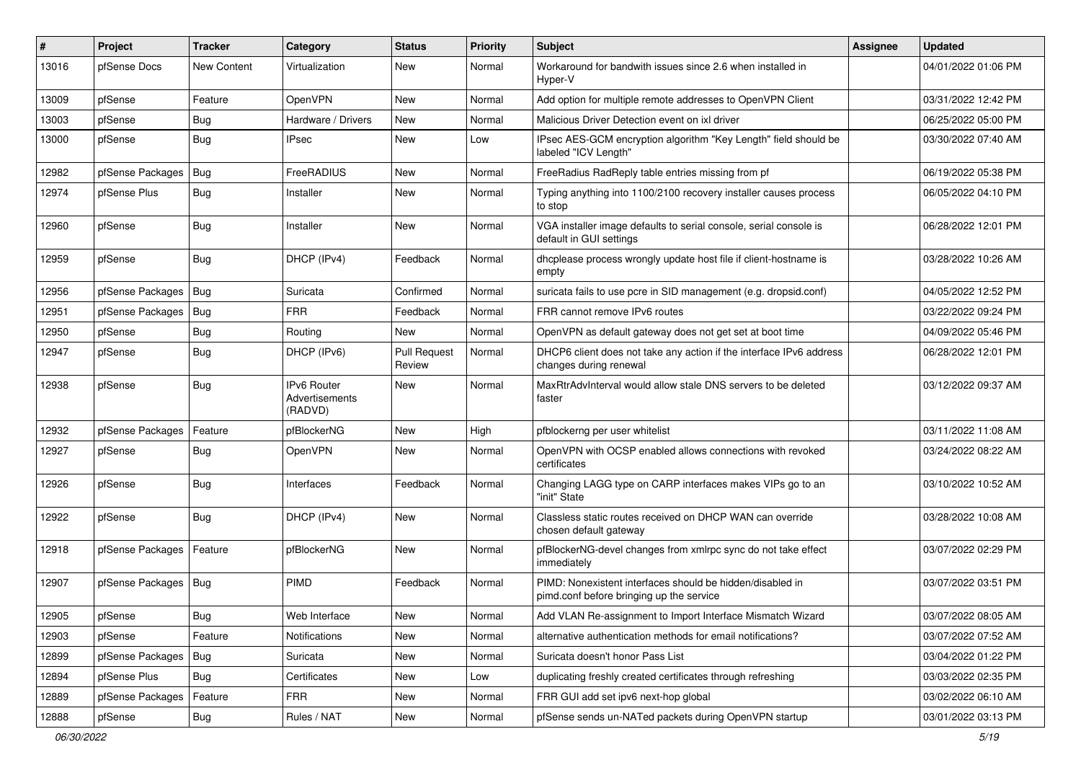| $\vert$ # | Project          | <b>Tracker</b>     | Category                                        | <b>Status</b>                 | <b>Priority</b> | Subject                                                                                               | <b>Assignee</b> | <b>Updated</b>      |
|-----------|------------------|--------------------|-------------------------------------------------|-------------------------------|-----------------|-------------------------------------------------------------------------------------------------------|-----------------|---------------------|
| 13016     | pfSense Docs     | <b>New Content</b> | Virtualization                                  | New                           | Normal          | Workaround for bandwith issues since 2.6 when installed in<br>Hyper-V                                 |                 | 04/01/2022 01:06 PM |
| 13009     | pfSense          | Feature            | OpenVPN                                         | New                           | Normal          | Add option for multiple remote addresses to OpenVPN Client                                            |                 | 03/31/2022 12:42 PM |
| 13003     | pfSense          | Bug                | Hardware / Drivers                              | New                           | Normal          | Malicious Driver Detection event on ixl driver                                                        |                 | 06/25/2022 05:00 PM |
| 13000     | pfSense          | Bug                | <b>IPsec</b>                                    | <b>New</b>                    | Low             | IPsec AES-GCM encryption algorithm "Key Length" field should be<br>labeled "ICV Length"               |                 | 03/30/2022 07:40 AM |
| 12982     | pfSense Packages | Bug                | FreeRADIUS                                      | New                           | Normal          | FreeRadius RadReply table entries missing from pf                                                     |                 | 06/19/2022 05:38 PM |
| 12974     | pfSense Plus     | Bug                | Installer                                       | <b>New</b>                    | Normal          | Typing anything into 1100/2100 recovery installer causes process<br>to stop                           |                 | 06/05/2022 04:10 PM |
| 12960     | pfSense          | Bug                | Installer                                       | New                           | Normal          | VGA installer image defaults to serial console, serial console is<br>default in GUI settings          |                 | 06/28/2022 12:01 PM |
| 12959     | pfSense          | Bug                | DHCP (IPv4)                                     | Feedback                      | Normal          | dhcplease process wrongly update host file if client-hostname is<br>empty                             |                 | 03/28/2022 10:26 AM |
| 12956     | pfSense Packages | Bug                | Suricata                                        | Confirmed                     | Normal          | suricata fails to use pcre in SID management (e.g. dropsid.conf)                                      |                 | 04/05/2022 12:52 PM |
| 12951     | pfSense Packages | Bug                | <b>FRR</b>                                      | Feedback                      | Normal          | FRR cannot remove IPv6 routes                                                                         |                 | 03/22/2022 09:24 PM |
| 12950     | pfSense          | Bug                | Routing                                         | <b>New</b>                    | Normal          | OpenVPN as default gateway does not get set at boot time                                              |                 | 04/09/2022 05:46 PM |
| 12947     | pfSense          | Bug                | DHCP (IPv6)                                     | <b>Pull Request</b><br>Review | Normal          | DHCP6 client does not take any action if the interface IPv6 address<br>changes during renewal         |                 | 06/28/2022 12:01 PM |
| 12938     | pfSense          | Bug                | <b>IPv6 Router</b><br>Advertisements<br>(RADVD) | <b>New</b>                    | Normal          | MaxRtrAdvInterval would allow stale DNS servers to be deleted<br>faster                               |                 | 03/12/2022 09:37 AM |
| 12932     | pfSense Packages | Feature            | pfBlockerNG                                     | <b>New</b>                    | High            | pfblockerng per user whitelist                                                                        |                 | 03/11/2022 11:08 AM |
| 12927     | pfSense          | Bug                | OpenVPN                                         | New                           | Normal          | OpenVPN with OCSP enabled allows connections with revoked<br>certificates                             |                 | 03/24/2022 08:22 AM |
| 12926     | pfSense          | Bug                | Interfaces                                      | Feedback                      | Normal          | Changing LAGG type on CARP interfaces makes VIPs go to an<br>"init" State                             |                 | 03/10/2022 10:52 AM |
| 12922     | pfSense          | Bug                | DHCP (IPv4)                                     | <b>New</b>                    | Normal          | Classless static routes received on DHCP WAN can override<br>chosen default gateway                   |                 | 03/28/2022 10:08 AM |
| 12918     | pfSense Packages | Feature            | pfBlockerNG                                     | New                           | Normal          | pfBlockerNG-devel changes from xmlrpc sync do not take effect<br>immediately                          |                 | 03/07/2022 02:29 PM |
| 12907     | pfSense Packages | Bug                | PIMD                                            | Feedback                      | Normal          | PIMD: Nonexistent interfaces should be hidden/disabled in<br>pimd.conf before bringing up the service |                 | 03/07/2022 03:51 PM |
| 12905     | pfSense          | <b>Bug</b>         | Web Interface                                   | New                           | Normal          | Add VLAN Re-assignment to Import Interface Mismatch Wizard                                            |                 | 03/07/2022 08:05 AM |
| 12903     | pfSense          | Feature            | Notifications                                   | New                           | Normal          | alternative authentication methods for email notifications?                                           |                 | 03/07/2022 07:52 AM |
| 12899     | pfSense Packages | Bug                | Suricata                                        | New                           | Normal          | Suricata doesn't honor Pass List                                                                      |                 | 03/04/2022 01:22 PM |
| 12894     | pfSense Plus     | Bug                | Certificates                                    | New                           | Low             | duplicating freshly created certificates through refreshing                                           |                 | 03/03/2022 02:35 PM |
| 12889     | pfSense Packages | Feature            | <b>FRR</b>                                      | New                           | Normal          | FRR GUI add set ipv6 next-hop global                                                                  |                 | 03/02/2022 06:10 AM |
| 12888     | pfSense          | <b>Bug</b>         | Rules / NAT                                     | New                           | Normal          | pfSense sends un-NATed packets during OpenVPN startup                                                 |                 | 03/01/2022 03:13 PM |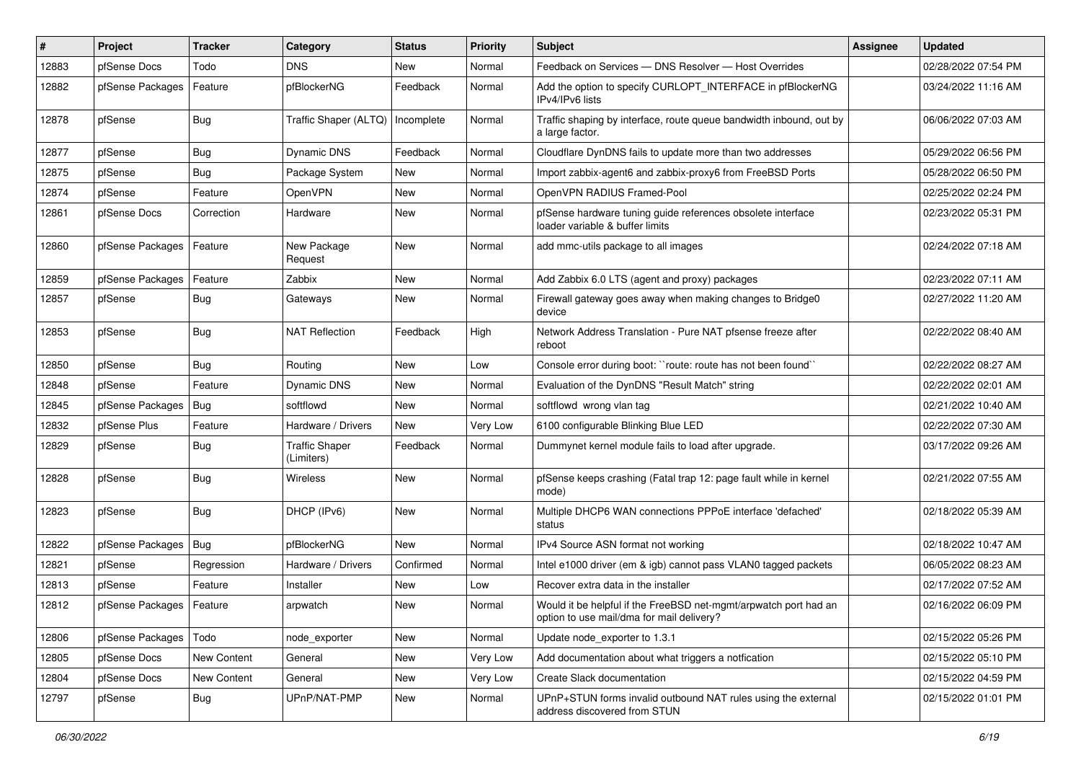| #     | Project                    | <b>Tracker</b> | Category                            | <b>Status</b> | <b>Priority</b> | Subject                                                                                                       | Assignee | <b>Updated</b>      |
|-------|----------------------------|----------------|-------------------------------------|---------------|-----------------|---------------------------------------------------------------------------------------------------------------|----------|---------------------|
| 12883 | pfSense Docs               | Todo           | <b>DNS</b>                          | New           | Normal          | Feedback on Services - DNS Resolver - Host Overrides                                                          |          | 02/28/2022 07:54 PM |
| 12882 | pfSense Packages           | Feature        | pfBlockerNG                         | Feedback      | Normal          | Add the option to specify CURLOPT_INTERFACE in pfBlockerNG<br>IPv4/IPv6 lists                                 |          | 03/24/2022 11:16 AM |
| 12878 | pfSense                    | Bug            | Traffic Shaper (ALTQ)               | Incomplete    | Normal          | Traffic shaping by interface, route queue bandwidth inbound, out by<br>a large factor.                        |          | 06/06/2022 07:03 AM |
| 12877 | pfSense                    | Bug            | <b>Dynamic DNS</b>                  | Feedback      | Normal          | Cloudflare DynDNS fails to update more than two addresses                                                     |          | 05/29/2022 06:56 PM |
| 12875 | pfSense                    | <b>Bug</b>     | Package System                      | New           | Normal          | Import zabbix-agent6 and zabbix-proxy6 from FreeBSD Ports                                                     |          | 05/28/2022 06:50 PM |
| 12874 | pfSense                    | Feature        | OpenVPN                             | <b>New</b>    | Normal          | OpenVPN RADIUS Framed-Pool                                                                                    |          | 02/25/2022 02:24 PM |
| 12861 | pfSense Docs               | Correction     | Hardware                            | New           | Normal          | pfSense hardware tuning guide references obsolete interface<br>loader variable & buffer limits                |          | 02/23/2022 05:31 PM |
| 12860 | pfSense Packages           | Feature        | New Package<br>Request              | <b>New</b>    | Normal          | add mmc-utils package to all images                                                                           |          | 02/24/2022 07:18 AM |
| 12859 | pfSense Packages           | Feature        | Zabbix                              | <b>New</b>    | Normal          | Add Zabbix 6.0 LTS (agent and proxy) packages                                                                 |          | 02/23/2022 07:11 AM |
| 12857 | pfSense                    | Bug            | Gateways                            | New           | Normal          | Firewall gateway goes away when making changes to Bridge0<br>device                                           |          | 02/27/2022 11:20 AM |
| 12853 | pfSense                    | Bug            | <b>NAT Reflection</b>               | Feedback      | High            | Network Address Translation - Pure NAT pfsense freeze after<br>reboot                                         |          | 02/22/2022 08:40 AM |
| 12850 | pfSense                    | Bug            | Routing                             | New           | Low             | Console error during boot: "route: route has not been found"                                                  |          | 02/22/2022 08:27 AM |
| 12848 | pfSense                    | Feature        | <b>Dynamic DNS</b>                  | New           | Normal          | Evaluation of the DynDNS "Result Match" string                                                                |          | 02/22/2022 02:01 AM |
| 12845 | pfSense Packages           | Bug            | softflowd                           | New           | Normal          | softflowd wrong vlan tag                                                                                      |          | 02/21/2022 10:40 AM |
| 12832 | pfSense Plus               | Feature        | Hardware / Drivers                  | <b>New</b>    | Very Low        | 6100 configurable Blinking Blue LED                                                                           |          | 02/22/2022 07:30 AM |
| 12829 | pfSense                    | Bug            | <b>Traffic Shaper</b><br>(Limiters) | Feedback      | Normal          | Dummynet kernel module fails to load after upgrade.                                                           |          | 03/17/2022 09:26 AM |
| 12828 | pfSense                    | Bug            | Wireless                            | <b>New</b>    | Normal          | pfSense keeps crashing (Fatal trap 12: page fault while in kernel<br>mode)                                    |          | 02/21/2022 07:55 AM |
| 12823 | pfSense                    | Bug            | DHCP (IPv6)                         | New           | Normal          | Multiple DHCP6 WAN connections PPPoE interface 'defached'<br>status                                           |          | 02/18/2022 05:39 AM |
| 12822 | pfSense Packages           | Bug            | pfBlockerNG                         | <b>New</b>    | Normal          | IPv4 Source ASN format not working                                                                            |          | 02/18/2022 10:47 AM |
| 12821 | pfSense                    | Regression     | Hardware / Drivers                  | Confirmed     | Normal          | Intel e1000 driver (em & igb) cannot pass VLAN0 tagged packets                                                |          | 06/05/2022 08:23 AM |
| 12813 | pfSense                    | Feature        | Installer                           | New           | Low             | Recover extra data in the installer                                                                           |          | 02/17/2022 07:52 AM |
| 12812 | pfSense Packages   Feature |                | arpwatch                            | New           | Normal          | Would it be helpful if the FreeBSD net-mgmt/arpwatch port had an<br>option to use mail/dma for mail delivery? |          | 02/16/2022 06:09 PM |
| 12806 | pfSense Packages           | Todo           | node_exporter                       | New           | Normal          | Update node_exporter to 1.3.1                                                                                 |          | 02/15/2022 05:26 PM |
| 12805 | pfSense Docs               | New Content    | General                             | <b>New</b>    | Very Low        | Add documentation about what triggers a notfication                                                           |          | 02/15/2022 05:10 PM |
| 12804 | pfSense Docs               | New Content    | General                             | New           | Very Low        | Create Slack documentation                                                                                    |          | 02/15/2022 04:59 PM |
| 12797 | pfSense                    | <b>Bug</b>     | UPnP/NAT-PMP                        | New           | Normal          | UPnP+STUN forms invalid outbound NAT rules using the external<br>address discovered from STUN                 |          | 02/15/2022 01:01 PM |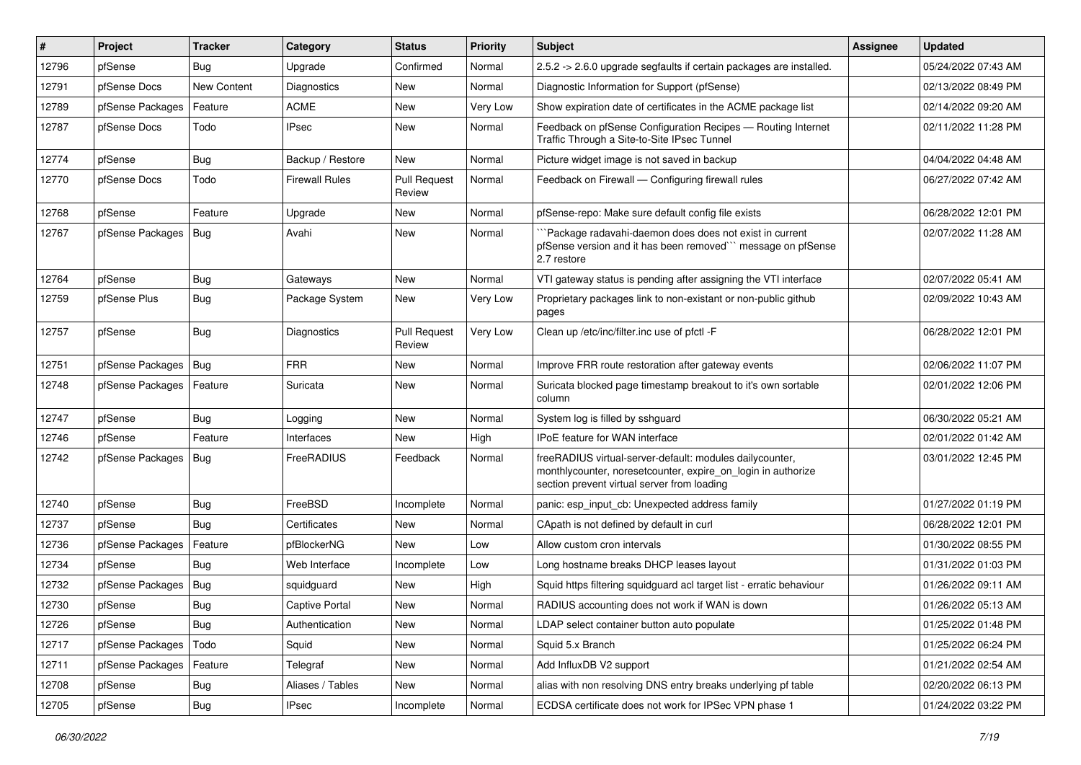| #     | Project          | <b>Tracker</b> | Category              | <b>Status</b>                 | <b>Priority</b> | Subject                                                                                                                                                                 | Assignee | <b>Updated</b>      |
|-------|------------------|----------------|-----------------------|-------------------------------|-----------------|-------------------------------------------------------------------------------------------------------------------------------------------------------------------------|----------|---------------------|
| 12796 | pfSense          | Bug            | Upgrade               | Confirmed                     | Normal          | 2.5.2 -> 2.6.0 upgrade segfaults if certain packages are installed.                                                                                                     |          | 05/24/2022 07:43 AM |
| 12791 | pfSense Docs     | New Content    | Diagnostics           | New                           | Normal          | Diagnostic Information for Support (pfSense)                                                                                                                            |          | 02/13/2022 08:49 PM |
| 12789 | pfSense Packages | Feature        | <b>ACME</b>           | New                           | Very Low        | Show expiration date of certificates in the ACME package list                                                                                                           |          | 02/14/2022 09:20 AM |
| 12787 | pfSense Docs     | Todo           | <b>IPsec</b>          | <b>New</b>                    | Normal          | Feedback on pfSense Configuration Recipes - Routing Internet<br>Traffic Through a Site-to-Site IPsec Tunnel                                                             |          | 02/11/2022 11:28 PM |
| 12774 | pfSense          | Bug            | Backup / Restore      | New                           | Normal          | Picture widget image is not saved in backup                                                                                                                             |          | 04/04/2022 04:48 AM |
| 12770 | pfSense Docs     | Todo           | <b>Firewall Rules</b> | <b>Pull Request</b><br>Review | Normal          | Feedback on Firewall - Configuring firewall rules                                                                                                                       |          | 06/27/2022 07:42 AM |
| 12768 | pfSense          | Feature        | Upgrade               | New                           | Normal          | pfSense-repo: Make sure default config file exists                                                                                                                      |          | 06/28/2022 12:01 PM |
| 12767 | pfSense Packages | <b>Bug</b>     | Avahi                 | New                           | Normal          | `Package radavahi-daemon does does not exist in current<br>pfSense version and it has been removed"" message on pfSense<br>2.7 restore                                  |          | 02/07/2022 11:28 AM |
| 12764 | pfSense          | Bug            | Gateways              | <b>New</b>                    | Normal          | VTI gateway status is pending after assigning the VTI interface                                                                                                         |          | 02/07/2022 05:41 AM |
| 12759 | pfSense Plus     | <b>Bug</b>     | Package System        | New                           | Very Low        | Proprietary packages link to non-existant or non-public github<br>pages                                                                                                 |          | 02/09/2022 10:43 AM |
| 12757 | pfSense          | Bug            | Diagnostics           | <b>Pull Request</b><br>Review | Very Low        | Clean up /etc/inc/filter.inc use of pfctl -F                                                                                                                            |          | 06/28/2022 12:01 PM |
| 12751 | pfSense Packages | $ $ Bug        | <b>FRR</b>            | New                           | Normal          | Improve FRR route restoration after gateway events                                                                                                                      |          | 02/06/2022 11:07 PM |
| 12748 | pfSense Packages | Feature        | Suricata              | <b>New</b>                    | Normal          | Suricata blocked page timestamp breakout to it's own sortable<br>column                                                                                                 |          | 02/01/2022 12:06 PM |
| 12747 | pfSense          | <b>Bug</b>     | Logging               | <b>New</b>                    | Normal          | System log is filled by sshguard                                                                                                                                        |          | 06/30/2022 05:21 AM |
| 12746 | pfSense          | Feature        | Interfaces            | New                           | High            | IPoE feature for WAN interface                                                                                                                                          |          | 02/01/2022 01:42 AM |
| 12742 | pfSense Packages | Bug            | FreeRADIUS            | Feedback                      | Normal          | freeRADIUS virtual-server-default: modules dailycounter,<br>monthlycounter, noresetcounter, expire on login in authorize<br>section prevent virtual server from loading |          | 03/01/2022 12:45 PM |
| 12740 | pfSense          | Bug            | FreeBSD               | Incomplete                    | Normal          | panic: esp input cb: Unexpected address family                                                                                                                          |          | 01/27/2022 01:19 PM |
| 12737 | pfSense          | Bug            | Certificates          | <b>New</b>                    | Normal          | CApath is not defined by default in curl                                                                                                                                |          | 06/28/2022 12:01 PM |
| 12736 | pfSense Packages | Feature        | pfBlockerNG           | New                           | Low             | Allow custom cron intervals                                                                                                                                             |          | 01/30/2022 08:55 PM |
| 12734 | pfSense          | Bug            | Web Interface         | Incomplete                    | Low             | Long hostname breaks DHCP leases layout                                                                                                                                 |          | 01/31/2022 01:03 PM |
| 12732 | pfSense Packages | Bug            | squidquard            | New                           | High            | Squid https filtering squidguard acl target list - erratic behaviour                                                                                                    |          | 01/26/2022 09:11 AM |
| 12730 | pfSense          | Bug            | Captive Portal        | New                           | Normal          | RADIUS accounting does not work if WAN is down                                                                                                                          |          | 01/26/2022 05:13 AM |
| 12726 | pfSense          | <b>Bug</b>     | Authentication        | New                           | Normal          | LDAP select container button auto populate                                                                                                                              |          | 01/25/2022 01:48 PM |
| 12717 | pfSense Packages | Todo           | Squid                 | New                           | Normal          | Squid 5.x Branch                                                                                                                                                        |          | 01/25/2022 06:24 PM |
| 12711 | pfSense Packages | Feature        | Telegraf              | New                           | Normal          | Add InfluxDB V2 support                                                                                                                                                 |          | 01/21/2022 02:54 AM |
| 12708 | pfSense          | <b>Bug</b>     | Aliases / Tables      | New                           | Normal          | alias with non resolving DNS entry breaks underlying pf table                                                                                                           |          | 02/20/2022 06:13 PM |
| 12705 | pfSense          | Bug            | <b>IPsec</b>          | Incomplete                    | Normal          | ECDSA certificate does not work for IPSec VPN phase 1                                                                                                                   |          | 01/24/2022 03:22 PM |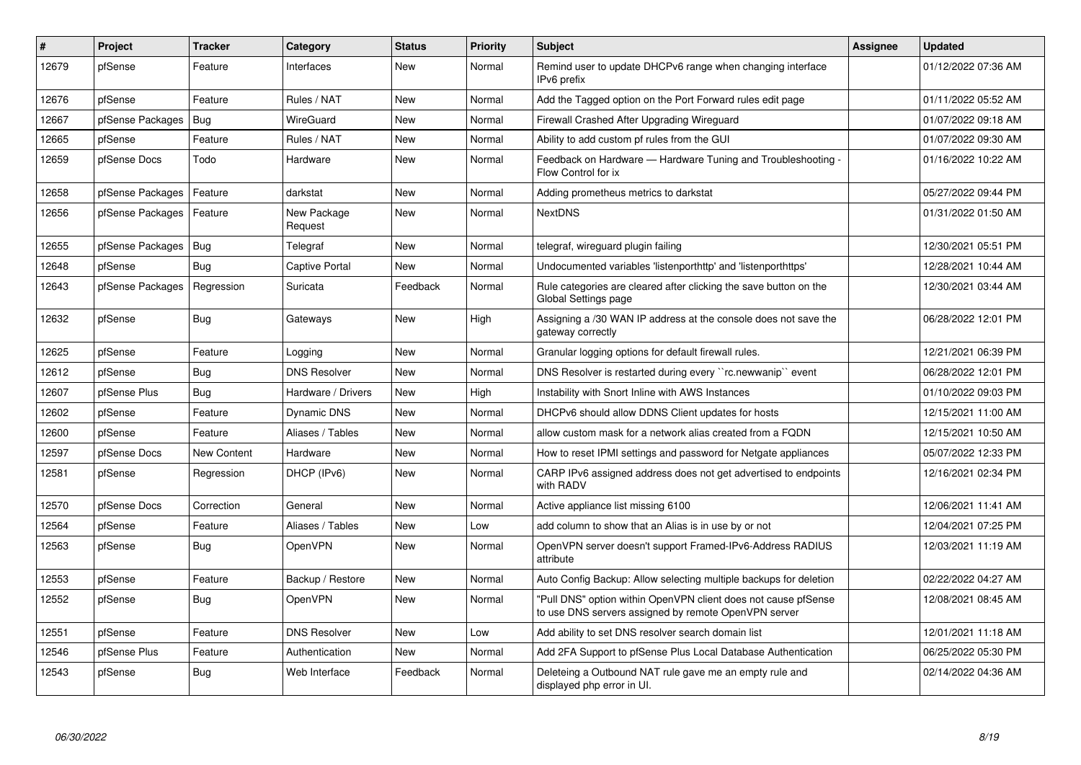| $\vert$ # | Project          | Tracker     | Category               | <b>Status</b> | <b>Priority</b> | <b>Subject</b>                                                                                                         | <b>Assignee</b> | <b>Updated</b>      |
|-----------|------------------|-------------|------------------------|---------------|-----------------|------------------------------------------------------------------------------------------------------------------------|-----------------|---------------------|
| 12679     | pfSense          | Feature     | Interfaces             | <b>New</b>    | Normal          | Remind user to update DHCPv6 range when changing interface<br>IPv6 prefix                                              |                 | 01/12/2022 07:36 AM |
| 12676     | pfSense          | Feature     | Rules / NAT            | <b>New</b>    | Normal          | Add the Tagged option on the Port Forward rules edit page                                                              |                 | 01/11/2022 05:52 AM |
| 12667     | pfSense Packages | Bug         | WireGuard              | <b>New</b>    | Normal          | Firewall Crashed After Upgrading Wireguard                                                                             |                 | 01/07/2022 09:18 AM |
| 12665     | pfSense          | Feature     | Rules / NAT            | <b>New</b>    | Normal          | Ability to add custom pf rules from the GUI                                                                            |                 | 01/07/2022 09:30 AM |
| 12659     | pfSense Docs     | Todo        | Hardware               | New           | Normal          | Feedback on Hardware — Hardware Tuning and Troubleshooting -<br>Flow Control for ix                                    |                 | 01/16/2022 10:22 AM |
| 12658     | pfSense Packages | Feature     | darkstat               | <b>New</b>    | Normal          | Adding prometheus metrics to darkstat                                                                                  |                 | 05/27/2022 09:44 PM |
| 12656     | pfSense Packages | Feature     | New Package<br>Request | New           | Normal          | <b>NextDNS</b>                                                                                                         |                 | 01/31/2022 01:50 AM |
| 12655     | pfSense Packages | Bug         | Telegraf               | <b>New</b>    | Normal          | telegraf, wireguard plugin failing                                                                                     |                 | 12/30/2021 05:51 PM |
| 12648     | pfSense          | Bug         | Captive Portal         | New           | Normal          | Undocumented variables 'listenporthttp' and 'listenporthttps'                                                          |                 | 12/28/2021 10:44 AM |
| 12643     | pfSense Packages | Regression  | Suricata               | Feedback      | Normal          | Rule categories are cleared after clicking the save button on the<br>Global Settings page                              |                 | 12/30/2021 03:44 AM |
| 12632     | pfSense          | Bug         | Gateways               | <b>New</b>    | High            | Assigning a /30 WAN IP address at the console does not save the<br>gateway correctly                                   |                 | 06/28/2022 12:01 PM |
| 12625     | pfSense          | Feature     | Logging                | New           | Normal          | Granular logging options for default firewall rules.                                                                   |                 | 12/21/2021 06:39 PM |
| 12612     | pfSense          | Bug         | <b>DNS Resolver</b>    | <b>New</b>    | Normal          | DNS Resolver is restarted during every "rc.newwanip" event                                                             |                 | 06/28/2022 12:01 PM |
| 12607     | pfSense Plus     | <b>Bug</b>  | Hardware / Drivers     | <b>New</b>    | High            | Instability with Snort Inline with AWS Instances                                                                       |                 | 01/10/2022 09:03 PM |
| 12602     | pfSense          | Feature     | Dynamic DNS            | <b>New</b>    | Normal          | DHCPv6 should allow DDNS Client updates for hosts                                                                      |                 | 12/15/2021 11:00 AM |
| 12600     | pfSense          | Feature     | Aliases / Tables       | <b>New</b>    | Normal          | allow custom mask for a network alias created from a FQDN                                                              |                 | 12/15/2021 10:50 AM |
| 12597     | pfSense Docs     | New Content | Hardware               | <b>New</b>    | Normal          | How to reset IPMI settings and password for Netgate appliances                                                         |                 | 05/07/2022 12:33 PM |
| 12581     | pfSense          | Regression  | DHCP (IPv6)            | <b>New</b>    | Normal          | CARP IPv6 assigned address does not get advertised to endpoints<br>with RADV                                           |                 | 12/16/2021 02:34 PM |
| 12570     | pfSense Docs     | Correction  | General                | <b>New</b>    | Normal          | Active appliance list missing 6100                                                                                     |                 | 12/06/2021 11:41 AM |
| 12564     | pfSense          | Feature     | Aliases / Tables       | <b>New</b>    | Low             | add column to show that an Alias is in use by or not                                                                   |                 | 12/04/2021 07:25 PM |
| 12563     | pfSense          | Bug         | OpenVPN                | New           | Normal          | OpenVPN server doesn't support Framed-IPv6-Address RADIUS<br>attribute                                                 |                 | 12/03/2021 11:19 AM |
| 12553     | pfSense          | Feature     | Backup / Restore       | New           | Normal          | Auto Config Backup: Allow selecting multiple backups for deletion                                                      |                 | 02/22/2022 04:27 AM |
| 12552     | pfSense          | Bug         | <b>OpenVPN</b>         | New           | Normal          | "Pull DNS" option within OpenVPN client does not cause pfSense<br>to use DNS servers assigned by remote OpenVPN server |                 | 12/08/2021 08:45 AM |
| 12551     | pfSense          | Feature     | <b>DNS Resolver</b>    | <b>New</b>    | Low             | Add ability to set DNS resolver search domain list                                                                     |                 | 12/01/2021 11:18 AM |
| 12546     | pfSense Plus     | Feature     | Authentication         | <b>New</b>    | Normal          | Add 2FA Support to pfSense Plus Local Database Authentication                                                          |                 | 06/25/2022 05:30 PM |
| 12543     | pfSense          | <b>Bug</b>  | Web Interface          | Feedback      | Normal          | Deleteing a Outbound NAT rule gave me an empty rule and<br>displayed php error in UI.                                  |                 | 02/14/2022 04:36 AM |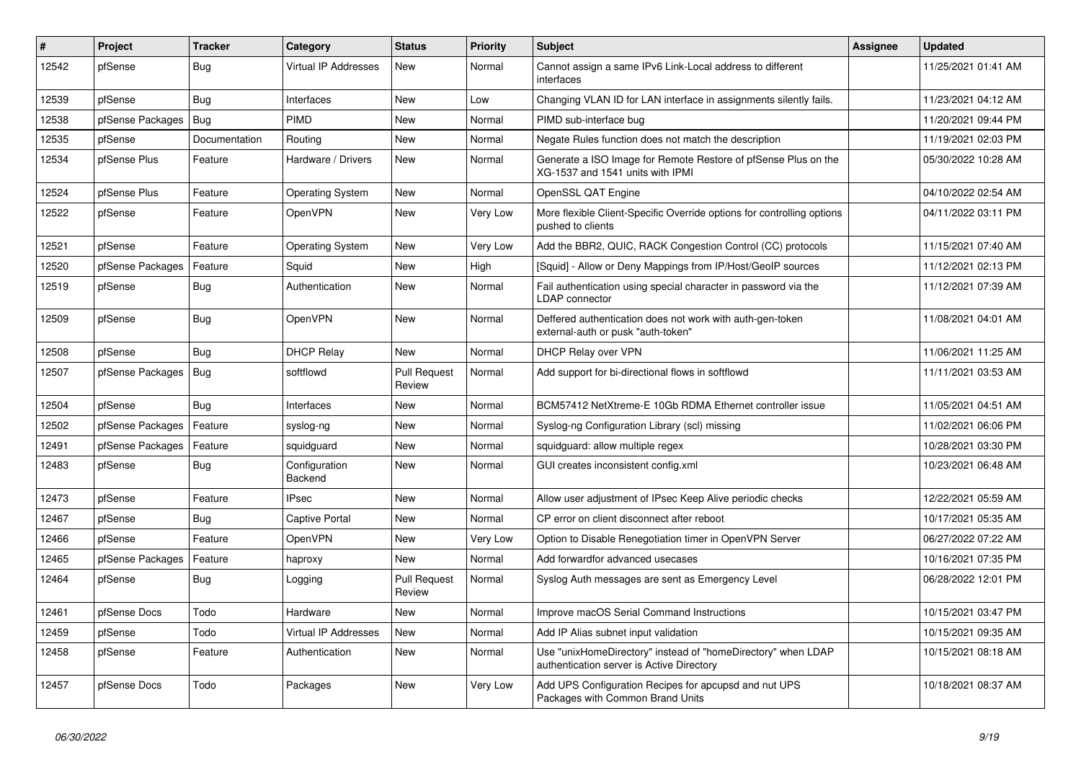| #     | Project          | <b>Tracker</b> | Category                    | <b>Status</b>                 | <b>Priority</b> | <b>Subject</b>                                                                                            | <b>Assignee</b> | <b>Updated</b>      |
|-------|------------------|----------------|-----------------------------|-------------------------------|-----------------|-----------------------------------------------------------------------------------------------------------|-----------------|---------------------|
| 12542 | pfSense          | Bug            | <b>Virtual IP Addresses</b> | <b>New</b>                    | Normal          | Cannot assign a same IPv6 Link-Local address to different<br>interfaces                                   |                 | 11/25/2021 01:41 AM |
| 12539 | pfSense          | Bug            | Interfaces                  | New                           | Low             | Changing VLAN ID for LAN interface in assignments silently fails.                                         |                 | 11/23/2021 04:12 AM |
| 12538 | pfSense Packages | Bug            | <b>PIMD</b>                 | <b>New</b>                    | Normal          | PIMD sub-interface bug                                                                                    |                 | 11/20/2021 09:44 PM |
| 12535 | pfSense          | Documentation  | Routing                     | <b>New</b>                    | Normal          | Negate Rules function does not match the description                                                      |                 | 11/19/2021 02:03 PM |
| 12534 | pfSense Plus     | Feature        | Hardware / Drivers          | <b>New</b>                    | Normal          | Generate a ISO Image for Remote Restore of pfSense Plus on the<br>XG-1537 and 1541 units with IPMI        |                 | 05/30/2022 10:28 AM |
| 12524 | pfSense Plus     | Feature        | <b>Operating System</b>     | <b>New</b>                    | Normal          | OpenSSL QAT Engine                                                                                        |                 | 04/10/2022 02:54 AM |
| 12522 | pfSense          | Feature        | OpenVPN                     | <b>New</b>                    | Very Low        | More flexible Client-Specific Override options for controlling options<br>pushed to clients               |                 | 04/11/2022 03:11 PM |
| 12521 | pfSense          | Feature        | <b>Operating System</b>     | New                           | Very Low        | Add the BBR2, QUIC, RACK Congestion Control (CC) protocols                                                |                 | 11/15/2021 07:40 AM |
| 12520 | pfSense Packages | Feature        | Squid                       | New                           | High            | [Squid] - Allow or Deny Mappings from IP/Host/GeoIP sources                                               |                 | 11/12/2021 02:13 PM |
| 12519 | pfSense          | Bug            | Authentication              | <b>New</b>                    | Normal          | Fail authentication using special character in password via the<br>LDAP connector                         |                 | 11/12/2021 07:39 AM |
| 12509 | pfSense          | Bug            | OpenVPN                     | <b>New</b>                    | Normal          | Deffered authentication does not work with auth-gen-token<br>external-auth or pusk "auth-token"           |                 | 11/08/2021 04:01 AM |
| 12508 | pfSense          | Bug            | <b>DHCP Relay</b>           | <b>New</b>                    | Normal          | <b>DHCP Relay over VPN</b>                                                                                |                 | 11/06/2021 11:25 AM |
| 12507 | pfSense Packages | <b>Bug</b>     | softflowd                   | <b>Pull Request</b><br>Review | Normal          | Add support for bi-directional flows in softflowd                                                         |                 | 11/11/2021 03:53 AM |
| 12504 | pfSense          | Bug            | Interfaces                  | New                           | Normal          | BCM57412 NetXtreme-E 10Gb RDMA Ethernet controller issue                                                  |                 | 11/05/2021 04:51 AM |
| 12502 | pfSense Packages | Feature        | syslog-ng                   | <b>New</b>                    | Normal          | Syslog-ng Configuration Library (scl) missing                                                             |                 | 11/02/2021 06:06 PM |
| 12491 | pfSense Packages | Feature        | squidguard                  | <b>New</b>                    | Normal          | squidguard: allow multiple regex                                                                          |                 | 10/28/2021 03:30 PM |
| 12483 | pfSense          | <b>Bug</b>     | Configuration<br>Backend    | New                           | Normal          | GUI creates inconsistent config.xml                                                                       |                 | 10/23/2021 06:48 AM |
| 12473 | pfSense          | Feature        | <b>IPsec</b>                | <b>New</b>                    | Normal          | Allow user adjustment of IPsec Keep Alive periodic checks                                                 |                 | 12/22/2021 05:59 AM |
| 12467 | pfSense          | Bug            | Captive Portal              | <b>New</b>                    | Normal          | CP error on client disconnect after reboot                                                                |                 | 10/17/2021 05:35 AM |
| 12466 | pfSense          | Feature        | OpenVPN                     | New                           | Very Low        | Option to Disable Renegotiation timer in OpenVPN Server                                                   |                 | 06/27/2022 07:22 AM |
| 12465 | pfSense Packages | Feature        | haproxy                     | <b>New</b>                    | Normal          | Add forwardfor advanced usecases                                                                          |                 | 10/16/2021 07:35 PM |
| 12464 | pfSense          | Bug            | Logging                     | <b>Pull Request</b><br>Review | Normal          | Syslog Auth messages are sent as Emergency Level                                                          |                 | 06/28/2022 12:01 PM |
| 12461 | pfSense Docs     | Todo           | Hardware                    | <b>New</b>                    | Normal          | Improve macOS Serial Command Instructions                                                                 |                 | 10/15/2021 03:47 PM |
| 12459 | pfSense          | Todo           | <b>Virtual IP Addresses</b> | New                           | Normal          | Add IP Alias subnet input validation                                                                      |                 | 10/15/2021 09:35 AM |
| 12458 | pfSense          | Feature        | Authentication              | <b>New</b>                    | Normal          | Use "unixHomeDirectory" instead of "homeDirectory" when LDAP<br>authentication server is Active Directory |                 | 10/15/2021 08:18 AM |
| 12457 | pfSense Docs     | Todo           | Packages                    | <b>New</b>                    | Very Low        | Add UPS Configuration Recipes for apcupsd and nut UPS<br>Packages with Common Brand Units                 |                 | 10/18/2021 08:37 AM |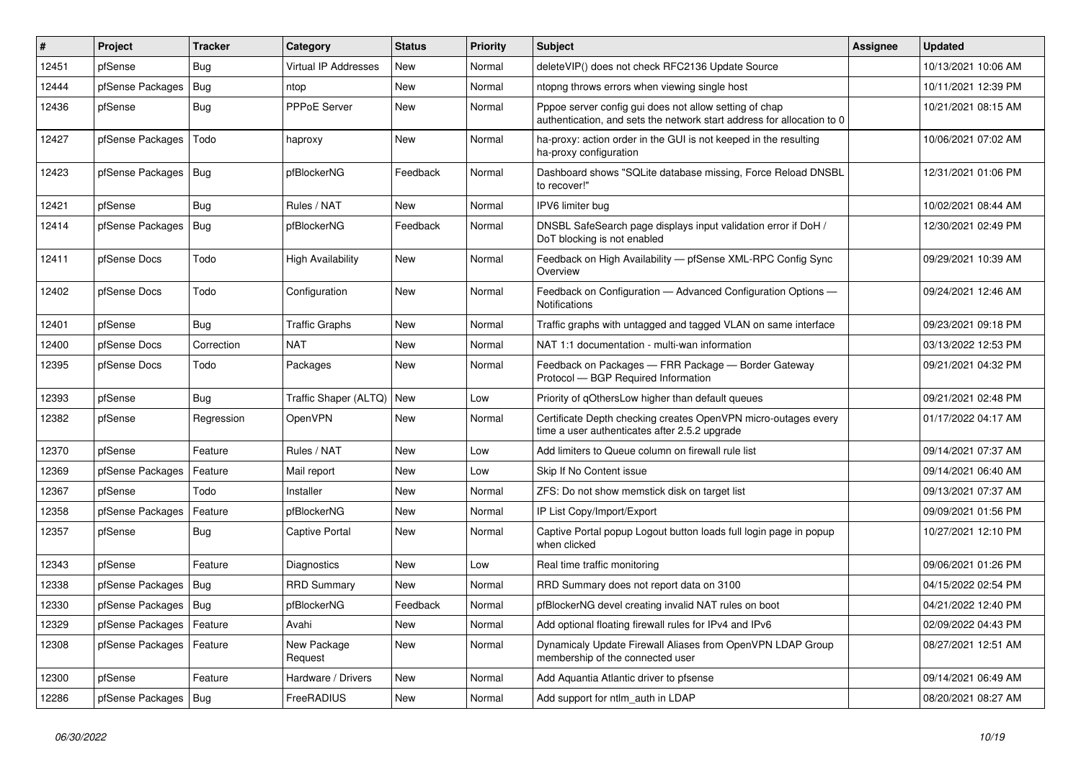| #     | Project                | <b>Tracker</b> | Category                    | <b>Status</b> | <b>Priority</b> | <b>Subject</b>                                                                                                                   | <b>Assignee</b> | <b>Updated</b>      |
|-------|------------------------|----------------|-----------------------------|---------------|-----------------|----------------------------------------------------------------------------------------------------------------------------------|-----------------|---------------------|
| 12451 | pfSense                | Bug            | <b>Virtual IP Addresses</b> | <b>New</b>    | Normal          | deleteVIP() does not check RFC2136 Update Source                                                                                 |                 | 10/13/2021 10:06 AM |
| 12444 | pfSense Packages       | <b>Bug</b>     | ntop                        | <b>New</b>    | Normal          | ntopng throws errors when viewing single host                                                                                    |                 | 10/11/2021 12:39 PM |
| 12436 | pfSense                | <b>Bug</b>     | <b>PPPoE Server</b>         | New           | Normal          | Pppoe server config gui does not allow setting of chap<br>authentication, and sets the network start address for allocation to 0 |                 | 10/21/2021 08:15 AM |
| 12427 | pfSense Packages       | Todo           | haproxy                     | <b>New</b>    | Normal          | ha-proxy: action order in the GUI is not keeped in the resulting<br>ha-proxy configuration                                       |                 | 10/06/2021 07:02 AM |
| 12423 | pfSense Packages       | <b>Bug</b>     | pfBlockerNG                 | Feedback      | Normal          | Dashboard shows "SQLite database missing, Force Reload DNSBL<br>to recover!"                                                     |                 | 12/31/2021 01:06 PM |
| 12421 | pfSense                | Bug            | Rules / NAT                 | <b>New</b>    | Normal          | IPV6 limiter bug                                                                                                                 |                 | 10/02/2021 08:44 AM |
| 12414 | pfSense Packages       | Bug            | pfBlockerNG                 | Feedback      | Normal          | DNSBL SafeSearch page displays input validation error if DoH /<br>DoT blocking is not enabled                                    |                 | 12/30/2021 02:49 PM |
| 12411 | pfSense Docs           | Todo           | <b>High Availability</b>    | New           | Normal          | Feedback on High Availability - pfSense XML-RPC Config Sync<br>Overview                                                          |                 | 09/29/2021 10:39 AM |
| 12402 | pfSense Docs           | Todo           | Configuration               | <b>New</b>    | Normal          | Feedback on Configuration - Advanced Configuration Options -<br><b>Notifications</b>                                             |                 | 09/24/2021 12:46 AM |
| 12401 | pfSense                | <b>Bug</b>     | <b>Traffic Graphs</b>       | <b>New</b>    | Normal          | Traffic graphs with untagged and tagged VLAN on same interface                                                                   |                 | 09/23/2021 09:18 PM |
| 12400 | pfSense Docs           | Correction     | <b>NAT</b>                  | <b>New</b>    | Normal          | NAT 1:1 documentation - multi-wan information                                                                                    |                 | 03/13/2022 12:53 PM |
| 12395 | pfSense Docs           | Todo           | Packages                    | <b>New</b>    | Normal          | Feedback on Packages - FRR Package - Border Gateway<br>Protocol - BGP Required Information                                       |                 | 09/21/2021 04:32 PM |
| 12393 | pfSense                | Bug            | Traffic Shaper (ALTQ)       | New           | Low             | Priority of qOthersLow higher than default queues                                                                                |                 | 09/21/2021 02:48 PM |
| 12382 | pfSense                | Regression     | OpenVPN                     | <b>New</b>    | Normal          | Certificate Depth checking creates OpenVPN micro-outages every<br>time a user authenticates after 2.5.2 upgrade                  |                 | 01/17/2022 04:17 AM |
| 12370 | pfSense                | Feature        | Rules / NAT                 | <b>New</b>    | Low             | Add limiters to Queue column on firewall rule list                                                                               |                 | 09/14/2021 07:37 AM |
| 12369 | pfSense Packages       | Feature        | Mail report                 | <b>New</b>    | Low             | Skip If No Content issue                                                                                                         |                 | 09/14/2021 06:40 AM |
| 12367 | pfSense                | Todo           | Installer                   | <b>New</b>    | Normal          | ZFS: Do not show memstick disk on target list                                                                                    |                 | 09/13/2021 07:37 AM |
| 12358 | pfSense Packages       | Feature        | pfBlockerNG                 | <b>New</b>    | Normal          | IP List Copy/Import/Export                                                                                                       |                 | 09/09/2021 01:56 PM |
| 12357 | pfSense                | Bug            | <b>Captive Portal</b>       | <b>New</b>    | Normal          | Captive Portal popup Logout button loads full login page in popup<br>when clicked                                                |                 | 10/27/2021 12:10 PM |
| 12343 | pfSense                | Feature        | Diagnostics                 | <b>New</b>    | Low             | Real time traffic monitoring                                                                                                     |                 | 09/06/2021 01:26 PM |
| 12338 | pfSense Packages       | Bug            | <b>RRD Summary</b>          | New           | Normal          | RRD Summary does not report data on 3100                                                                                         |                 | 04/15/2022 02:54 PM |
| 12330 | pfSense Packages       | <b>Bug</b>     | pfBlockerNG                 | Feedback      | Normal          | pfBlockerNG devel creating invalid NAT rules on boot                                                                             |                 | 04/21/2022 12:40 PM |
| 12329 | pfSense Packages       | Feature        | Avahi                       | <b>New</b>    | Normal          | Add optional floating firewall rules for IPv4 and IPv6                                                                           |                 | 02/09/2022 04:43 PM |
| 12308 | pfSense Packages       | Feature        | New Package<br>Request      | New           | Normal          | Dynamicaly Update Firewall Aliases from OpenVPN LDAP Group<br>membership of the connected user                                   |                 | 08/27/2021 12:51 AM |
| 12300 | pfSense                | Feature        | Hardware / Drivers          | <b>New</b>    | Normal          | Add Aquantia Atlantic driver to pfsense                                                                                          |                 | 09/14/2021 06:49 AM |
| 12286 | pfSense Packages   Bug |                | FreeRADIUS                  | New           | Normal          | Add support for ntlm auth in LDAP                                                                                                |                 | 08/20/2021 08:27 AM |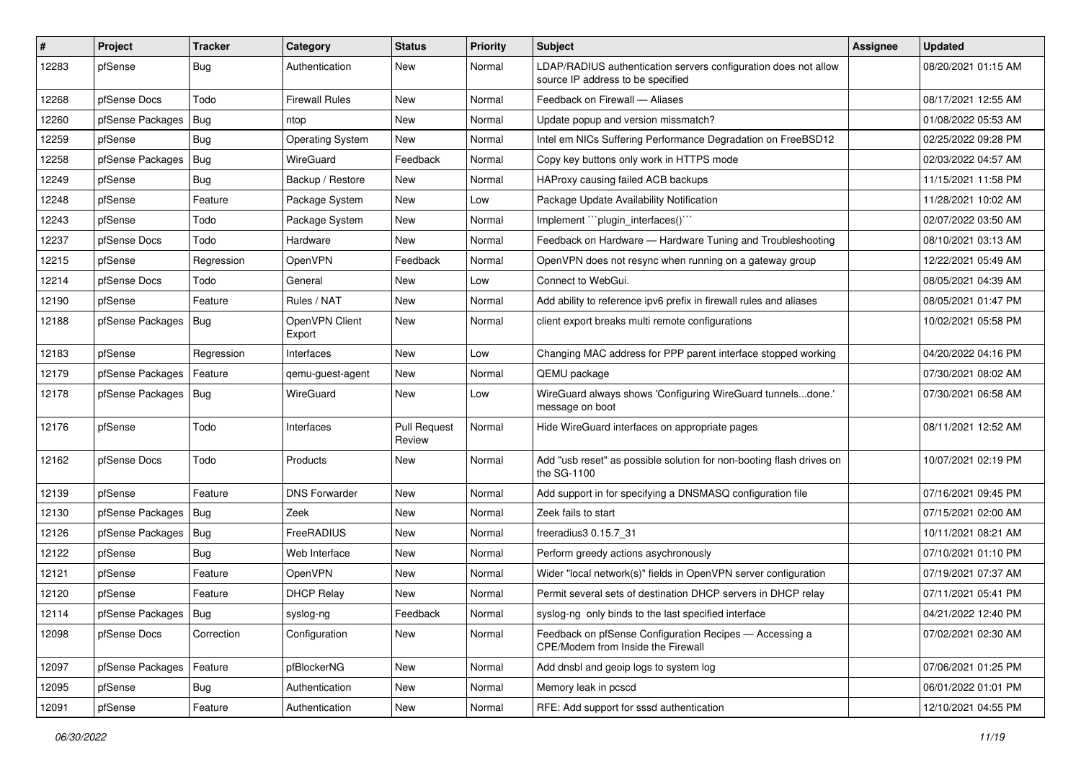| ∦     | Project                | <b>Tracker</b> | Category                 | <b>Status</b>                 | <b>Priority</b> | <b>Subject</b>                                                                                       | <b>Assignee</b> | <b>Updated</b>      |
|-------|------------------------|----------------|--------------------------|-------------------------------|-----------------|------------------------------------------------------------------------------------------------------|-----------------|---------------------|
| 12283 | pfSense                | Bug            | Authentication           | New                           | Normal          | LDAP/RADIUS authentication servers configuration does not allow<br>source IP address to be specified |                 | 08/20/2021 01:15 AM |
| 12268 | pfSense Docs           | Todo           | <b>Firewall Rules</b>    | New                           | Normal          | Feedback on Firewall - Aliases                                                                       |                 | 08/17/2021 12:55 AM |
| 12260 | pfSense Packages       | Bug            | ntop                     | New                           | Normal          | Update popup and version missmatch?                                                                  |                 | 01/08/2022 05:53 AM |
| 12259 | pfSense                | Bug            | <b>Operating System</b>  | <b>New</b>                    | Normal          | Intel em NICs Suffering Performance Degradation on FreeBSD12                                         |                 | 02/25/2022 09:28 PM |
| 12258 | pfSense Packages       | Bug            | WireGuard                | Feedback                      | Normal          | Copy key buttons only work in HTTPS mode                                                             |                 | 02/03/2022 04:57 AM |
| 12249 | pfSense                | Bug            | Backup / Restore         | New                           | Normal          | HAProxy causing failed ACB backups                                                                   |                 | 11/15/2021 11:58 PM |
| 12248 | pfSense                | Feature        | Package System           | New                           | Low             | Package Update Availability Notification                                                             |                 | 11/28/2021 10:02 AM |
| 12243 | pfSense                | Todo           | Package System           | New                           | Normal          | Implement "plugin_interfaces()"                                                                      |                 | 02/07/2022 03:50 AM |
| 12237 | pfSense Docs           | Todo           | Hardware                 | <b>New</b>                    | Normal          | Feedback on Hardware - Hardware Tuning and Troubleshooting                                           |                 | 08/10/2021 03:13 AM |
| 12215 | pfSense                | Regression     | OpenVPN                  | Feedback                      | Normal          | OpenVPN does not resync when running on a gateway group                                              |                 | 12/22/2021 05:49 AM |
| 12214 | pfSense Docs           | Todo           | General                  | New                           | Low             | Connect to WebGui.                                                                                   |                 | 08/05/2021 04:39 AM |
| 12190 | pfSense                | Feature        | Rules / NAT              | New                           | Normal          | Add ability to reference ipv6 prefix in firewall rules and aliases                                   |                 | 08/05/2021 01:47 PM |
| 12188 | pfSense Packages       | Bug            | OpenVPN Client<br>Export | New                           | Normal          | client export breaks multi remote configurations                                                     |                 | 10/02/2021 05:58 PM |
| 12183 | pfSense                | Regression     | Interfaces               | <b>New</b>                    | Low             | Changing MAC address for PPP parent interface stopped working                                        |                 | 04/20/2022 04:16 PM |
| 12179 | pfSense Packages       | Feature        | qemu-guest-agent         | New                           | Normal          | QEMU package                                                                                         |                 | 07/30/2021 08:02 AM |
| 12178 | pfSense Packages       | Bug            | WireGuard                | <b>New</b>                    | Low             | WireGuard always shows 'Configuring WireGuard tunnelsdone.'<br>message on boot                       |                 | 07/30/2021 06:58 AM |
| 12176 | pfSense                | Todo           | Interfaces               | <b>Pull Request</b><br>Review | Normal          | Hide WireGuard interfaces on appropriate pages                                                       |                 | 08/11/2021 12:52 AM |
| 12162 | pfSense Docs           | Todo           | Products                 | New                           | Normal          | Add "usb reset" as possible solution for non-booting flash drives on<br>the SG-1100                  |                 | 10/07/2021 02:19 PM |
| 12139 | pfSense                | Feature        | <b>DNS Forwarder</b>     | <b>New</b>                    | Normal          | Add support in for specifying a DNSMASQ configuration file                                           |                 | 07/16/2021 09:45 PM |
| 12130 | pfSense Packages       | Bug            | Zeek                     | New                           | Normal          | Zeek fails to start                                                                                  |                 | 07/15/2021 02:00 AM |
| 12126 | pfSense Packages       | Bug            | FreeRADIUS               | New                           | Normal          | freeradius3 0.15.7 31                                                                                |                 | 10/11/2021 08:21 AM |
| 12122 | pfSense                | Bug            | Web Interface            | New                           | Normal          | Perform greedy actions asychronously                                                                 |                 | 07/10/2021 01:10 PM |
| 12121 | pfSense                | Feature        | OpenVPN                  | New                           | Normal          | Wider "local network(s)" fields in OpenVPN server configuration                                      |                 | 07/19/2021 07:37 AM |
| 12120 | pfSense                | Feature        | <b>DHCP Relay</b>        | <b>New</b>                    | Normal          | Permit several sets of destination DHCP servers in DHCP relay                                        |                 | 07/11/2021 05:41 PM |
| 12114 | pfSense Packages   Bug |                | syslog-ng                | Feedback                      | Normal          | syslog-ng only binds to the last specified interface                                                 |                 | 04/21/2022 12:40 PM |
| 12098 | pfSense Docs           | Correction     | Configuration            | New                           | Normal          | Feedback on pfSense Configuration Recipes - Accessing a<br>CPE/Modem from Inside the Firewall        |                 | 07/02/2021 02:30 AM |
| 12097 | pfSense Packages       | Feature        | pfBlockerNG              | New                           | Normal          | Add dnsbl and geoip logs to system log                                                               |                 | 07/06/2021 01:25 PM |
| 12095 | pfSense                | <b>Bug</b>     | Authentication           | New                           | Normal          | Memory leak in pcscd                                                                                 |                 | 06/01/2022 01:01 PM |
| 12091 | pfSense                | Feature        | Authentication           | New                           | Normal          | RFE: Add support for sssd authentication                                                             |                 | 12/10/2021 04:55 PM |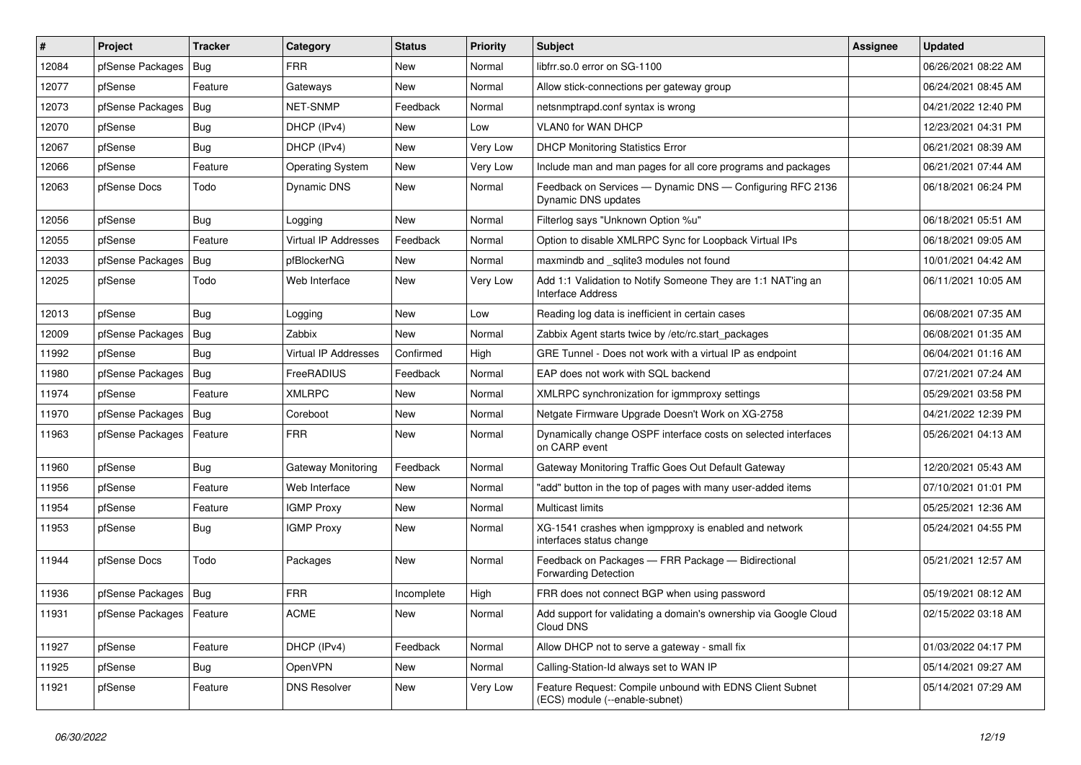| #     | Project                    | <b>Tracker</b> | Category                    | <b>Status</b> | <b>Priority</b> | Subject                                                                                    | Assignee | <b>Updated</b>      |
|-------|----------------------------|----------------|-----------------------------|---------------|-----------------|--------------------------------------------------------------------------------------------|----------|---------------------|
| 12084 | pfSense Packages           | Bug            | <b>FRR</b>                  | New           | Normal          | libfrr.so.0 error on SG-1100                                                               |          | 06/26/2021 08:22 AM |
| 12077 | pfSense                    | Feature        | Gateways                    | New           | Normal          | Allow stick-connections per gateway group                                                  |          | 06/24/2021 08:45 AM |
| 12073 | pfSense Packages           | Bug            | NET-SNMP                    | Feedback      | Normal          | netsnmptrapd.conf syntax is wrong                                                          |          | 04/21/2022 12:40 PM |
| 12070 | pfSense                    | Bug            | DHCP (IPv4)                 | New           | Low             | <b>VLAN0 for WAN DHCP</b>                                                                  |          | 12/23/2021 04:31 PM |
| 12067 | pfSense                    | Bug            | DHCP (IPv4)                 | <b>New</b>    | Very Low        | <b>DHCP Monitoring Statistics Error</b>                                                    |          | 06/21/2021 08:39 AM |
| 12066 | pfSense                    | Feature        | <b>Operating System</b>     | New           | Very Low        | Include man and man pages for all core programs and packages                               |          | 06/21/2021 07:44 AM |
| 12063 | pfSense Docs               | Todo           | <b>Dynamic DNS</b>          | New           | Normal          | Feedback on Services - Dynamic DNS - Configuring RFC 2136<br>Dynamic DNS updates           |          | 06/18/2021 06:24 PM |
| 12056 | pfSense                    | Bug            | Logging                     | <b>New</b>    | Normal          | Filterlog says "Unknown Option %u"                                                         |          | 06/18/2021 05:51 AM |
| 12055 | pfSense                    | Feature        | <b>Virtual IP Addresses</b> | Feedback      | Normal          | Option to disable XMLRPC Sync for Loopback Virtual IPs                                     |          | 06/18/2021 09:05 AM |
| 12033 | pfSense Packages           | <b>Bug</b>     | pfBlockerNG                 | New           | Normal          | maxmindb and sqlite3 modules not found                                                     |          | 10/01/2021 04:42 AM |
| 12025 | pfSense                    | Todo           | Web Interface               | New           | Very Low        | Add 1:1 Validation to Notify Someone They are 1:1 NAT'ing an<br>Interface Address          |          | 06/11/2021 10:05 AM |
| 12013 | pfSense                    | Bug            | Logging                     | <b>New</b>    | Low             | Reading log data is inefficient in certain cases                                           |          | 06/08/2021 07:35 AM |
| 12009 | pfSense Packages           | Bug            | Zabbix                      | New           | Normal          | Zabbix Agent starts twice by /etc/rc.start packages                                        |          | 06/08/2021 01:35 AM |
| 11992 | pfSense                    | Bug            | Virtual IP Addresses        | Confirmed     | High            | GRE Tunnel - Does not work with a virtual IP as endpoint                                   |          | 06/04/2021 01:16 AM |
| 11980 | pfSense Packages           | Bug            | FreeRADIUS                  | Feedback      | Normal          | EAP does not work with SQL backend                                                         |          | 07/21/2021 07:24 AM |
| 11974 | pfSense                    | Feature        | <b>XMLRPC</b>               | New           | Normal          | XMLRPC synchronization for igmmproxy settings                                              |          | 05/29/2021 03:58 PM |
| 11970 | pfSense Packages           | Bug            | Coreboot                    | New           | Normal          | Netgate Firmware Upgrade Doesn't Work on XG-2758                                           |          | 04/21/2022 12:39 PM |
| 11963 | pfSense Packages           | Feature        | <b>FRR</b>                  | New           | Normal          | Dynamically change OSPF interface costs on selected interfaces<br>on CARP event            |          | 05/26/2021 04:13 AM |
| 11960 | pfSense                    | Bug            | Gateway Monitoring          | Feedback      | Normal          | Gateway Monitoring Traffic Goes Out Default Gateway                                        |          | 12/20/2021 05:43 AM |
| 11956 | pfSense                    | Feature        | Web Interface               | New           | Normal          | "add" button in the top of pages with many user-added items                                |          | 07/10/2021 01:01 PM |
| 11954 | pfSense                    | Feature        | <b>IGMP Proxy</b>           | New           | Normal          | <b>Multicast limits</b>                                                                    |          | 05/25/2021 12:36 AM |
| 11953 | pfSense                    | Bug            | <b>IGMP Proxy</b>           | New           | Normal          | XG-1541 crashes when igmpproxy is enabled and network<br>interfaces status change          |          | 05/24/2021 04:55 PM |
| 11944 | pfSense Docs               | Todo           | Packages                    | New           | Normal          | Feedback on Packages - FRR Package - Bidirectional<br><b>Forwarding Detection</b>          |          | 05/21/2021 12:57 AM |
| 11936 | pfSense Packages           | Bug            | <b>FRR</b>                  | Incomplete    | High            | FRR does not connect BGP when using password                                               |          | 05/19/2021 08:12 AM |
| 11931 | pfSense Packages   Feature |                | ACME                        | New           | Normal          | Add support for validating a domain's ownership via Google Cloud<br>Cloud DNS              |          | 02/15/2022 03:18 AM |
| 11927 | pfSense                    | Feature        | DHCP (IPv4)                 | Feedback      | Normal          | Allow DHCP not to serve a gateway - small fix                                              |          | 01/03/2022 04:17 PM |
| 11925 | pfSense                    | Bug            | OpenVPN                     | New           | Normal          | Calling-Station-Id always set to WAN IP                                                    |          | 05/14/2021 09:27 AM |
| 11921 | pfSense                    | Feature        | <b>DNS Resolver</b>         | New           | Very Low        | Feature Request: Compile unbound with EDNS Client Subnet<br>(ECS) module (--enable-subnet) |          | 05/14/2021 07:29 AM |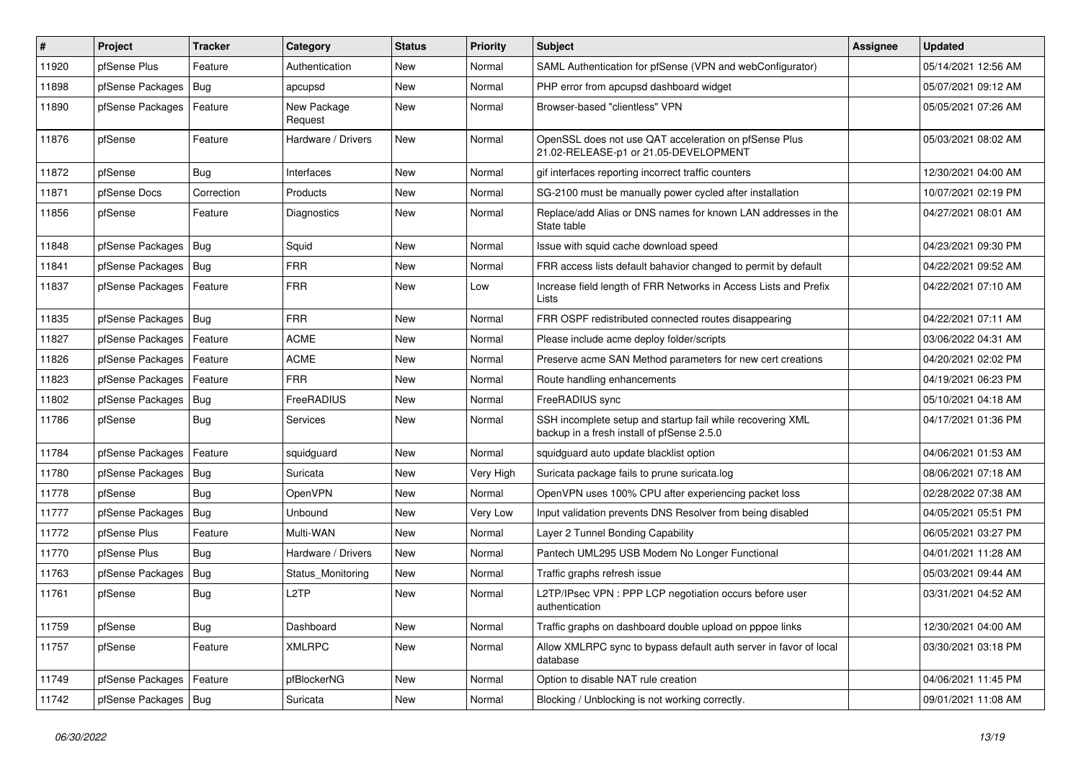| ∦     | Project                | <b>Tracker</b> | Category               | <b>Status</b> | <b>Priority</b> | Subject                                                                                                  | Assignee | <b>Updated</b>      |
|-------|------------------------|----------------|------------------------|---------------|-----------------|----------------------------------------------------------------------------------------------------------|----------|---------------------|
| 11920 | pfSense Plus           | Feature        | Authentication         | New           | Normal          | SAML Authentication for pfSense (VPN and webConfigurator)                                                |          | 05/14/2021 12:56 AM |
| 11898 | pfSense Packages       | Bug            | apcupsd                | <b>New</b>    | Normal          | PHP error from apcupsd dashboard widget                                                                  |          | 05/07/2021 09:12 AM |
| 11890 | pfSense Packages       | Feature        | New Package<br>Request | New           | Normal          | Browser-based "clientless" VPN                                                                           |          | 05/05/2021 07:26 AM |
| 11876 | pfSense                | Feature        | Hardware / Drivers     | <b>New</b>    | Normal          | OpenSSL does not use QAT acceleration on pfSense Plus<br>21.02-RELEASE-p1 or 21.05-DEVELOPMENT           |          | 05/03/2021 08:02 AM |
| 11872 | pfSense                | Bug            | Interfaces             | New           | Normal          | gif interfaces reporting incorrect traffic counters                                                      |          | 12/30/2021 04:00 AM |
| 11871 | pfSense Docs           | Correction     | Products               | <b>New</b>    | Normal          | SG-2100 must be manually power cycled after installation                                                 |          | 10/07/2021 02:19 PM |
| 11856 | pfSense                | Feature        | <b>Diagnostics</b>     | New           | Normal          | Replace/add Alias or DNS names for known LAN addresses in the<br>State table                             |          | 04/27/2021 08:01 AM |
| 11848 | pfSense Packages       | Bug            | Squid                  | New           | Normal          | Issue with squid cache download speed                                                                    |          | 04/23/2021 09:30 PM |
| 11841 | pfSense Packages   Bug |                | <b>FRR</b>             | <b>New</b>    | Normal          | FRR access lists default bahavior changed to permit by default                                           |          | 04/22/2021 09:52 AM |
| 11837 | pfSense Packages       | Feature        | <b>FRR</b>             | <b>New</b>    | Low             | Increase field length of FRR Networks in Access Lists and Prefix<br>Lists                                |          | 04/22/2021 07:10 AM |
| 11835 | pfSense Packages   Bug |                | <b>FRR</b>             | New           | Normal          | FRR OSPF redistributed connected routes disappearing                                                     |          | 04/22/2021 07:11 AM |
| 11827 | pfSense Packages       | Feature        | <b>ACME</b>            | New           | Normal          | Please include acme deploy folder/scripts                                                                |          | 03/06/2022 04:31 AM |
| 11826 | pfSense Packages       | Feature        | <b>ACME</b>            | New           | Normal          | Preserve acme SAN Method parameters for new cert creations                                               |          | 04/20/2021 02:02 PM |
| 11823 | pfSense Packages       | Feature        | <b>FRR</b>             | <b>New</b>    | Normal          | Route handling enhancements                                                                              |          | 04/19/2021 06:23 PM |
| 11802 | pfSense Packages       | Bug            | FreeRADIUS             | New           | Normal          | FreeRADIUS sync                                                                                          |          | 05/10/2021 04:18 AM |
| 11786 | pfSense                | Bug            | <b>Services</b>        | New           | Normal          | SSH incomplete setup and startup fail while recovering XML<br>backup in a fresh install of pfSense 2.5.0 |          | 04/17/2021 01:36 PM |
| 11784 | pfSense Packages       | Feature        | squidguard             | <b>New</b>    | Normal          | squidguard auto update blacklist option                                                                  |          | 04/06/2021 01:53 AM |
| 11780 | pfSense Packages   Bug |                | Suricata               | New           | Very High       | Suricata package fails to prune suricata.log                                                             |          | 08/06/2021 07:18 AM |
| 11778 | pfSense                | <b>Bug</b>     | OpenVPN                | New           | Normal          | OpenVPN uses 100% CPU after experiencing packet loss                                                     |          | 02/28/2022 07:38 AM |
| 11777 | pfSense Packages       | Bug            | Unbound                | New           | Very Low        | Input validation prevents DNS Resolver from being disabled                                               |          | 04/05/2021 05:51 PM |
| 11772 | pfSense Plus           | Feature        | Multi-WAN              | <b>New</b>    | Normal          | Layer 2 Tunnel Bonding Capability                                                                        |          | 06/05/2021 03:27 PM |
| 11770 | pfSense Plus           | Bug            | Hardware / Drivers     | New           | Normal          | Pantech UML295 USB Modem No Longer Functional                                                            |          | 04/01/2021 11:28 AM |
| 11763 | pfSense Packages       | Bug            | Status Monitoring      | New           | Normal          | Traffic graphs refresh issue                                                                             |          | 05/03/2021 09:44 AM |
| 11761 | pfSense                | Bug            | L <sub>2</sub> TP      | <b>New</b>    | Normal          | L2TP/IPsec VPN : PPP LCP negotiation occurs before user<br>authentication                                |          | 03/31/2021 04:52 AM |
| 11759 | pfSense                | Bug            | Dashboard              | New           | Normal          | Traffic graphs on dashboard double upload on pppoe links                                                 |          | 12/30/2021 04:00 AM |
| 11757 | pfSense                | Feature        | <b>XMLRPC</b>          | New           | Normal          | Allow XMLRPC sync to bypass default auth server in favor of local<br>database                            |          | 03/30/2021 03:18 PM |
| 11749 | pfSense Packages       | Feature        | pfBlockerNG            | New           | Normal          | Option to disable NAT rule creation                                                                      |          | 04/06/2021 11:45 PM |
| 11742 | pfSense Packages   Bug |                | Suricata               | New           | Normal          | Blocking / Unblocking is not working correctly.                                                          |          | 09/01/2021 11:08 AM |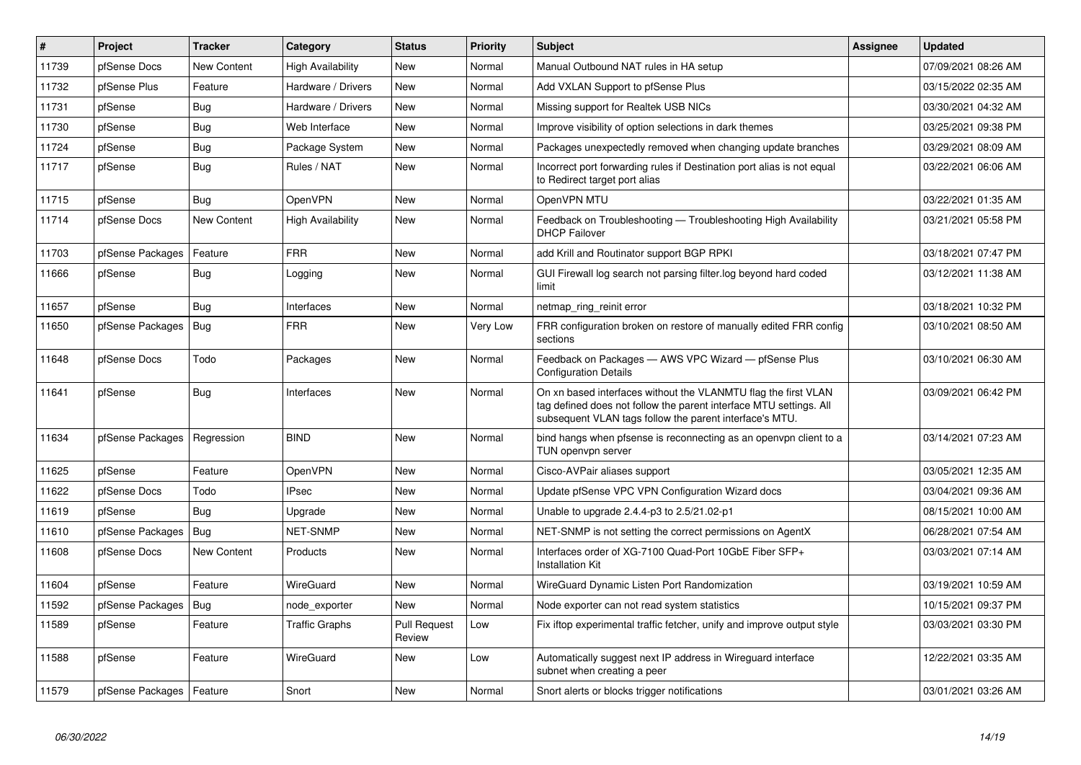| #     | Project                    | <b>Tracker</b> | Category                 | <b>Status</b>                 | <b>Priority</b> | <b>Subject</b>                                                                                                                                                                                  | <b>Assignee</b> | <b>Updated</b>      |
|-------|----------------------------|----------------|--------------------------|-------------------------------|-----------------|-------------------------------------------------------------------------------------------------------------------------------------------------------------------------------------------------|-----------------|---------------------|
| 11739 | pfSense Docs               | New Content    | High Availability        | <b>New</b>                    | Normal          | Manual Outbound NAT rules in HA setup                                                                                                                                                           |                 | 07/09/2021 08:26 AM |
| 11732 | pfSense Plus               | Feature        | Hardware / Drivers       | <b>New</b>                    | Normal          | Add VXLAN Support to pfSense Plus                                                                                                                                                               |                 | 03/15/2022 02:35 AM |
| 11731 | pfSense                    | Bug            | Hardware / Drivers       | <b>New</b>                    | Normal          | Missing support for Realtek USB NICs                                                                                                                                                            |                 | 03/30/2021 04:32 AM |
| 11730 | pfSense                    | Bug            | Web Interface            | <b>New</b>                    | Normal          | Improve visibility of option selections in dark themes                                                                                                                                          |                 | 03/25/2021 09:38 PM |
| 11724 | pfSense                    | Bug            | Package System           | <b>New</b>                    | Normal          | Packages unexpectedly removed when changing update branches                                                                                                                                     |                 | 03/29/2021 08:09 AM |
| 11717 | pfSense                    | Bug            | Rules / NAT              | <b>New</b>                    | Normal          | Incorrect port forwarding rules if Destination port alias is not equal<br>to Redirect target port alias                                                                                         |                 | 03/22/2021 06:06 AM |
| 11715 | pfSense                    | <b>Bug</b>     | OpenVPN                  | <b>New</b>                    | Normal          | OpenVPN MTU                                                                                                                                                                                     |                 | 03/22/2021 01:35 AM |
| 11714 | pfSense Docs               | New Content    | <b>High Availability</b> | <b>New</b>                    | Normal          | Feedback on Troubleshooting - Troubleshooting High Availability<br><b>DHCP Failover</b>                                                                                                         |                 | 03/21/2021 05:58 PM |
| 11703 | pfSense Packages           | Feature        | <b>FRR</b>               | New                           | Normal          | add Krill and Routinator support BGP RPKI                                                                                                                                                       |                 | 03/18/2021 07:47 PM |
| 11666 | pfSense                    | <b>Bug</b>     | Logging                  | <b>New</b>                    | Normal          | GUI Firewall log search not parsing filter log beyond hard coded<br>limit                                                                                                                       |                 | 03/12/2021 11:38 AM |
| 11657 | pfSense                    | Bug            | Interfaces               | New                           | Normal          | netmap_ring_reinit error                                                                                                                                                                        |                 | 03/18/2021 10:32 PM |
| 11650 | pfSense Packages           | Bug            | <b>FRR</b>               | <b>New</b>                    | Very Low        | FRR configuration broken on restore of manually edited FRR config<br>sections                                                                                                                   |                 | 03/10/2021 08:50 AM |
| 11648 | pfSense Docs               | Todo           | Packages                 | <b>New</b>                    | Normal          | Feedback on Packages - AWS VPC Wizard - pfSense Plus<br><b>Configuration Details</b>                                                                                                            |                 | 03/10/2021 06:30 AM |
| 11641 | pfSense                    | <b>Bug</b>     | Interfaces               | <b>New</b>                    | Normal          | On xn based interfaces without the VLANMTU flag the first VLAN<br>tag defined does not follow the parent interface MTU settings. All<br>subsequent VLAN tags follow the parent interface's MTU. |                 | 03/09/2021 06:42 PM |
| 11634 | pfSense Packages           | Regression     | <b>BIND</b>              | <b>New</b>                    | Normal          | bind hangs when pfsense is reconnecting as an openvpn client to a<br>TUN openvpn server                                                                                                         |                 | 03/14/2021 07:23 AM |
| 11625 | pfSense                    | Feature        | <b>OpenVPN</b>           | <b>New</b>                    | Normal          | Cisco-AVPair aliases support                                                                                                                                                                    |                 | 03/05/2021 12:35 AM |
| 11622 | pfSense Docs               | Todo           | <b>IPsec</b>             | <b>New</b>                    | Normal          | Update pfSense VPC VPN Configuration Wizard docs                                                                                                                                                |                 | 03/04/2021 09:36 AM |
| 11619 | pfSense                    | <b>Bug</b>     | Upgrade                  | <b>New</b>                    | Normal          | Unable to upgrade 2.4.4-p3 to 2.5/21.02-p1                                                                                                                                                      |                 | 08/15/2021 10:00 AM |
| 11610 | pfSense Packages           | Bug            | NET-SNMP                 | <b>New</b>                    | Normal          | NET-SNMP is not setting the correct permissions on AgentX                                                                                                                                       |                 | 06/28/2021 07:54 AM |
| 11608 | pfSense Docs               | New Content    | Products                 | <b>New</b>                    | Normal          | Interfaces order of XG-7100 Quad-Port 10GbE Fiber SFP+<br><b>Installation Kit</b>                                                                                                               |                 | 03/03/2021 07:14 AM |
| 11604 | pfSense                    | Feature        | WireGuard                | <b>New</b>                    | Normal          | WireGuard Dynamic Listen Port Randomization                                                                                                                                                     |                 | 03/19/2021 10:59 AM |
| 11592 | pfSense Packages           | Bug            | node exporter            | <b>New</b>                    | Normal          | Node exporter can not read system statistics                                                                                                                                                    |                 | 10/15/2021 09:37 PM |
| 11589 | pfSense                    | Feature        | <b>Traffic Graphs</b>    | <b>Pull Request</b><br>Review | Low             | Fix iftop experimental traffic fetcher, unify and improve output style                                                                                                                          |                 | 03/03/2021 03:30 PM |
| 11588 | pfSense                    | Feature        | WireGuard                | New                           | Low             | Automatically suggest next IP address in Wireguard interface<br>subnet when creating a peer                                                                                                     |                 | 12/22/2021 03:35 AM |
| 11579 | pfSense Packages   Feature |                | Snort                    | <b>New</b>                    | Normal          | Snort alerts or blocks trigger notifications                                                                                                                                                    |                 | 03/01/2021 03:26 AM |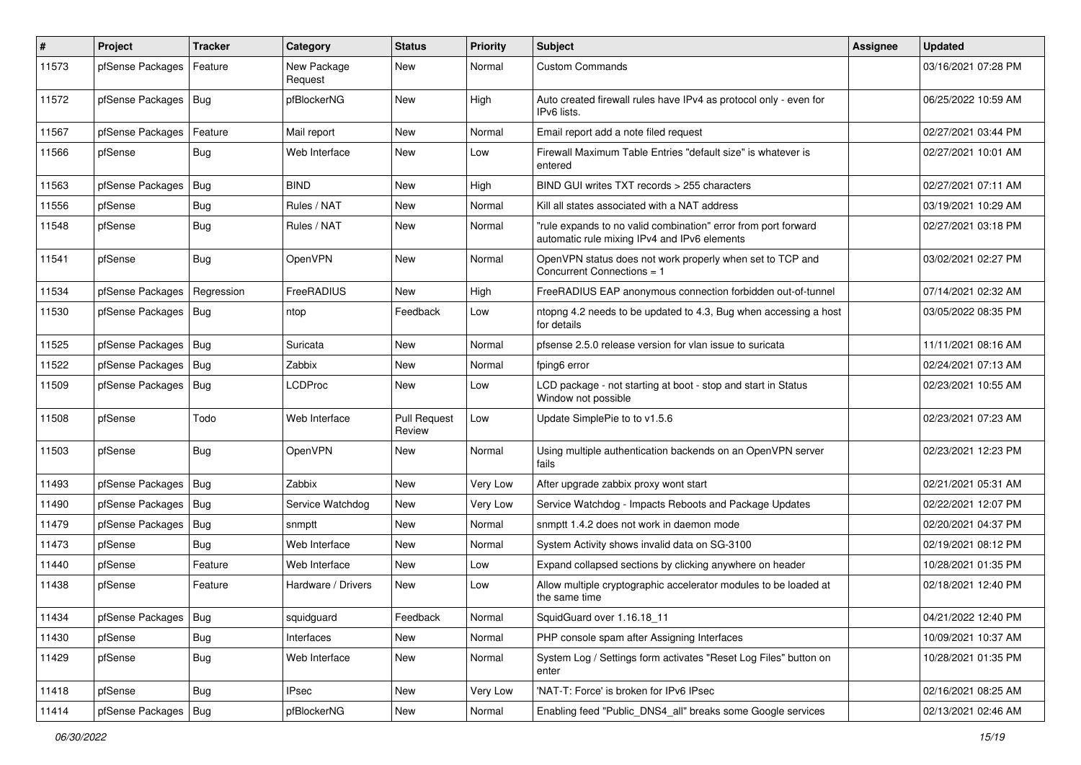| $\vert$ # | Project                | Tracker    | Category               | <b>Status</b>                 | <b>Priority</b> | <b>Subject</b>                                                                                                 | <b>Assignee</b> | <b>Updated</b>      |
|-----------|------------------------|------------|------------------------|-------------------------------|-----------------|----------------------------------------------------------------------------------------------------------------|-----------------|---------------------|
| 11573     | pfSense Packages       | Feature    | New Package<br>Request | <b>New</b>                    | Normal          | <b>Custom Commands</b>                                                                                         |                 | 03/16/2021 07:28 PM |
| 11572     | pfSense Packages       | Bug        | pfBlockerNG            | New                           | High            | Auto created firewall rules have IPv4 as protocol only - even for<br>IPv6 lists.                               |                 | 06/25/2022 10:59 AM |
| 11567     | pfSense Packages       | Feature    | Mail report            | <b>New</b>                    | Normal          | Email report add a note filed request                                                                          |                 | 02/27/2021 03:44 PM |
| 11566     | pfSense                | Bug        | Web Interface          | New                           | Low             | Firewall Maximum Table Entries "default size" is whatever is<br>entered                                        |                 | 02/27/2021 10:01 AM |
| 11563     | pfSense Packages       | Bug        | <b>BIND</b>            | <b>New</b>                    | High            | BIND GUI writes TXT records > 255 characters                                                                   |                 | 02/27/2021 07:11 AM |
| 11556     | pfSense                | Bug        | Rules / NAT            | <b>New</b>                    | Normal          | Kill all states associated with a NAT address                                                                  |                 | 03/19/2021 10:29 AM |
| 11548     | pfSense                | <b>Bug</b> | Rules / NAT            | <b>New</b>                    | Normal          | "rule expands to no valid combination" error from port forward<br>automatic rule mixing IPv4 and IPv6 elements |                 | 02/27/2021 03:18 PM |
| 11541     | pfSense                | Bug        | OpenVPN                | <b>New</b>                    | Normal          | OpenVPN status does not work properly when set to TCP and<br>Concurrent Connections = 1                        |                 | 03/02/2021 02:27 PM |
| 11534     | pfSense Packages       | Regression | FreeRADIUS             | <b>New</b>                    | High            | FreeRADIUS EAP anonymous connection forbidden out-of-tunnel                                                    |                 | 07/14/2021 02:32 AM |
| 11530     | pfSense Packages   Bug |            | ntop                   | Feedback                      | Low             | ntopng 4.2 needs to be updated to 4.3, Bug when accessing a host<br>for details                                |                 | 03/05/2022 08:35 PM |
| 11525     | pfSense Packages       | Bug        | Suricata               | New                           | Normal          | pfsense 2.5.0 release version for vlan issue to suricata                                                       |                 | 11/11/2021 08:16 AM |
| 11522     | pfSense Packages       | Bug        | Zabbix                 | <b>New</b>                    | Normal          | fping6 error                                                                                                   |                 | 02/24/2021 07:13 AM |
| 11509     | pfSense Packages       | Bug        | LCDProc                | New                           | Low             | LCD package - not starting at boot - stop and start in Status<br>Window not possible                           |                 | 02/23/2021 10:55 AM |
| 11508     | pfSense                | Todo       | Web Interface          | <b>Pull Request</b><br>Review | Low             | Update SimplePie to to v1.5.6                                                                                  |                 | 02/23/2021 07:23 AM |
| 11503     | pfSense                | Bug        | <b>OpenVPN</b>         | <b>New</b>                    | Normal          | Using multiple authentication backends on an OpenVPN server<br>fails                                           |                 | 02/23/2021 12:23 PM |
| 11493     | pfSense Packages       | Bug        | Zabbix                 | <b>New</b>                    | Very Low        | After upgrade zabbix proxy wont start                                                                          |                 | 02/21/2021 05:31 AM |
| 11490     | pfSense Packages   Bug |            | Service Watchdog       | <b>New</b>                    | Very Low        | Service Watchdog - Impacts Reboots and Package Updates                                                         |                 | 02/22/2021 12:07 PM |
| 11479     | pfSense Packages       | Bug        | snmptt                 | <b>New</b>                    | Normal          | snmptt 1.4.2 does not work in daemon mode                                                                      |                 | 02/20/2021 04:37 PM |
| 11473     | pfSense                | Bug        | Web Interface          | <b>New</b>                    | Normal          | System Activity shows invalid data on SG-3100                                                                  |                 | 02/19/2021 08:12 PM |
| 11440     | pfSense                | Feature    | Web Interface          | <b>New</b>                    | Low             | Expand collapsed sections by clicking anywhere on header                                                       |                 | 10/28/2021 01:35 PM |
| 11438     | pfSense                | Feature    | Hardware / Drivers     | New                           | Low             | Allow multiple cryptographic accelerator modules to be loaded at<br>the same time                              |                 | 02/18/2021 12:40 PM |
| 11434     | pfSense Packages   Bug |            | squidguard             | Feedback                      | Normal          | SquidGuard over 1.16.18 11                                                                                     |                 | 04/21/2022 12:40 PM |
| 11430     | pfSense                | Bug        | Interfaces             | New                           | Normal          | PHP console spam after Assigning Interfaces                                                                    |                 | 10/09/2021 10:37 AM |
| 11429     | pfSense                | <b>Bug</b> | Web Interface          | New                           | Normal          | System Log / Settings form activates "Reset Log Files" button on<br>enter                                      |                 | 10/28/2021 01:35 PM |
| 11418     | pfSense                | Bug        | <b>IPsec</b>           | New                           | Very Low        | 'NAT-T: Force' is broken for IPv6 IPsec                                                                        |                 | 02/16/2021 08:25 AM |
| 11414     | pfSense Packages       | Bug        | pfBlockerNG            | New                           | Normal          | Enabling feed "Public_DNS4_all" breaks some Google services                                                    |                 | 02/13/2021 02:46 AM |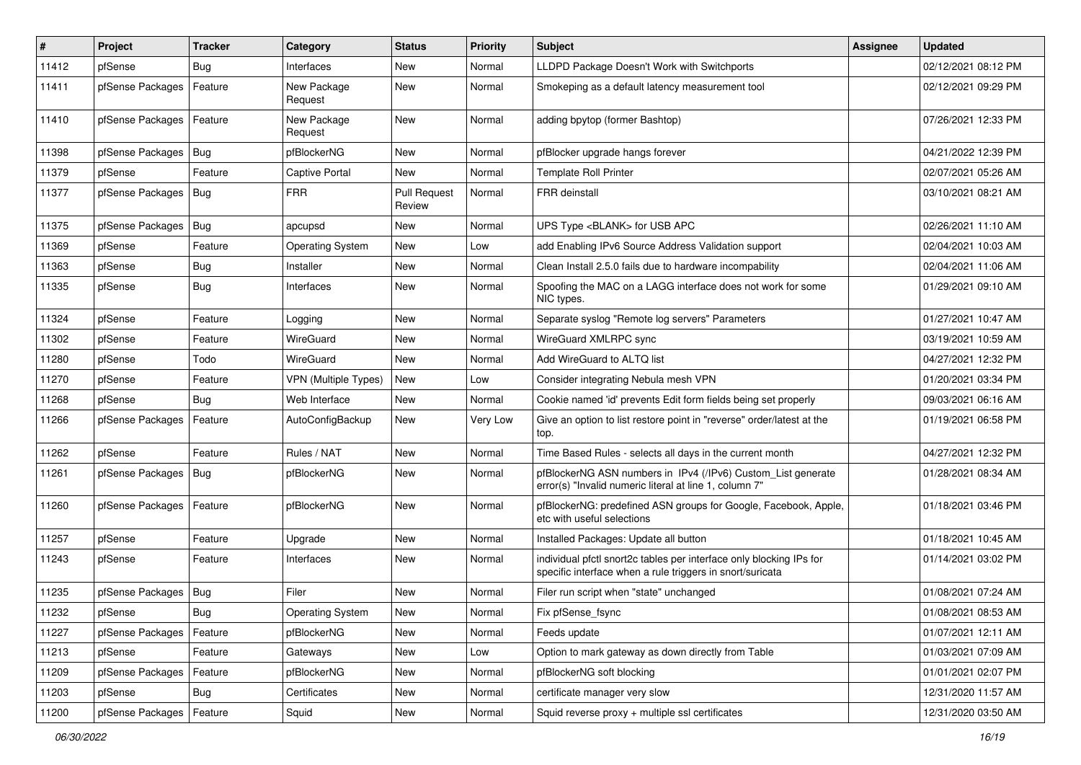| $\vert$ # | Project                | Tracker    | Category                    | <b>Status</b>                 | <b>Priority</b> | <b>Subject</b>                                                                                                                   | Assignee | <b>Updated</b>      |
|-----------|------------------------|------------|-----------------------------|-------------------------------|-----------------|----------------------------------------------------------------------------------------------------------------------------------|----------|---------------------|
| 11412     | pfSense                | Bug        | Interfaces                  | New                           | Normal          | LLDPD Package Doesn't Work with Switchports                                                                                      |          | 02/12/2021 08:12 PM |
| 11411     | pfSense Packages       | Feature    | New Package<br>Request      | <b>New</b>                    | Normal          | Smokeping as a default latency measurement tool                                                                                  |          | 02/12/2021 09:29 PM |
| 11410     | pfSense Packages       | Feature    | New Package<br>Request      | New                           | Normal          | adding bpytop (former Bashtop)                                                                                                   |          | 07/26/2021 12:33 PM |
| 11398     | pfSense Packages       | Bug        | pfBlockerNG                 | New                           | Normal          | pfBlocker upgrade hangs forever                                                                                                  |          | 04/21/2022 12:39 PM |
| 11379     | pfSense                | Feature    | Captive Portal              | New                           | Normal          | <b>Template Roll Printer</b>                                                                                                     |          | 02/07/2021 05:26 AM |
| 11377     | pfSense Packages       | Bug        | <b>FRR</b>                  | <b>Pull Request</b><br>Review | Normal          | <b>FRR</b> deinstall                                                                                                             |          | 03/10/2021 08:21 AM |
| 11375     | pfSense Packages   Bug |            | apcupsd                     | <b>New</b>                    | Normal          | UPS Type <blank> for USB APC</blank>                                                                                             |          | 02/26/2021 11:10 AM |
| 11369     | pfSense                | Feature    | <b>Operating System</b>     | New                           | Low             | add Enabling IPv6 Source Address Validation support                                                                              |          | 02/04/2021 10:03 AM |
| 11363     | pfSense                | <b>Bug</b> | Installer                   | <b>New</b>                    | Normal          | Clean Install 2.5.0 fails due to hardware incompability                                                                          |          | 02/04/2021 11:06 AM |
| 11335     | pfSense                | <b>Bug</b> | Interfaces                  | <b>New</b>                    | Normal          | Spoofing the MAC on a LAGG interface does not work for some<br>NIC types.                                                        |          | 01/29/2021 09:10 AM |
| 11324     | pfSense                | Feature    | Logging                     | <b>New</b>                    | Normal          | Separate syslog "Remote log servers" Parameters                                                                                  |          | 01/27/2021 10:47 AM |
| 11302     | pfSense                | Feature    | WireGuard                   | <b>New</b>                    | Normal          | WireGuard XMLRPC sync                                                                                                            |          | 03/19/2021 10:59 AM |
| 11280     | pfSense                | Todo       | WireGuard                   | New                           | Normal          | Add WireGuard to ALTQ list                                                                                                       |          | 04/27/2021 12:32 PM |
| 11270     | pfSense                | Feature    | <b>VPN (Multiple Types)</b> | <b>New</b>                    | Low             | Consider integrating Nebula mesh VPN                                                                                             |          | 01/20/2021 03:34 PM |
| 11268     | pfSense                | Bug        | Web Interface               | New                           | Normal          | Cookie named 'id' prevents Edit form fields being set properly                                                                   |          | 09/03/2021 06:16 AM |
| 11266     | pfSense Packages       | Feature    | AutoConfigBackup            | New                           | Very Low        | Give an option to list restore point in "reverse" order/latest at the<br>top.                                                    |          | 01/19/2021 06:58 PM |
| 11262     | pfSense                | Feature    | Rules / NAT                 | New                           | Normal          | Time Based Rules - selects all days in the current month                                                                         |          | 04/27/2021 12:32 PM |
| 11261     | pfSense Packages       | Bug        | pfBlockerNG                 | <b>New</b>                    | Normal          | pfBlockerNG ASN numbers in IPv4 (/IPv6) Custom_List generate<br>error(s) "Invalid numeric literal at line 1, column 7"           |          | 01/28/2021 08:34 AM |
| 11260     | pfSense Packages       | Feature    | pfBlockerNG                 | New                           | Normal          | pfBlockerNG: predefined ASN groups for Google, Facebook, Apple,<br>etc with useful selections                                    |          | 01/18/2021 03:46 PM |
| 11257     | pfSense                | Feature    | Upgrade                     | New                           | Normal          | Installed Packages: Update all button                                                                                            |          | 01/18/2021 10:45 AM |
| 11243     | pfSense                | Feature    | Interfaces                  | New                           | Normal          | individual pfctl snort2c tables per interface only blocking IPs for<br>specific interface when a rule triggers in snort/suricata |          | 01/14/2021 03:02 PM |
| 11235     | pfSense Packages   Bug |            | Filer                       | New                           | Normal          | Filer run script when "state" unchanged                                                                                          |          | 01/08/2021 07:24 AM |
| 11232     | pfSense                | Bug        | Operating System            | New                           | Normal          | Fix pfSense_fsync                                                                                                                |          | 01/08/2021 08:53 AM |
| 11227     | pfSense Packages       | Feature    | pfBlockerNG                 | New                           | Normal          | Feeds update                                                                                                                     |          | 01/07/2021 12:11 AM |
| 11213     | pfSense                | Feature    | Gateways                    | New                           | Low             | Option to mark gateway as down directly from Table                                                                               |          | 01/03/2021 07:09 AM |
| 11209     | pfSense Packages       | Feature    | pfBlockerNG                 | New                           | Normal          | pfBlockerNG soft blocking                                                                                                        |          | 01/01/2021 02:07 PM |
| 11203     | pfSense                | Bug        | Certificates                | New                           | Normal          | certificate manager very slow                                                                                                    |          | 12/31/2020 11:57 AM |
| 11200     | pfSense Packages       | Feature    | Squid                       | New                           | Normal          | Squid reverse proxy + multiple ssl certificates                                                                                  |          | 12/31/2020 03:50 AM |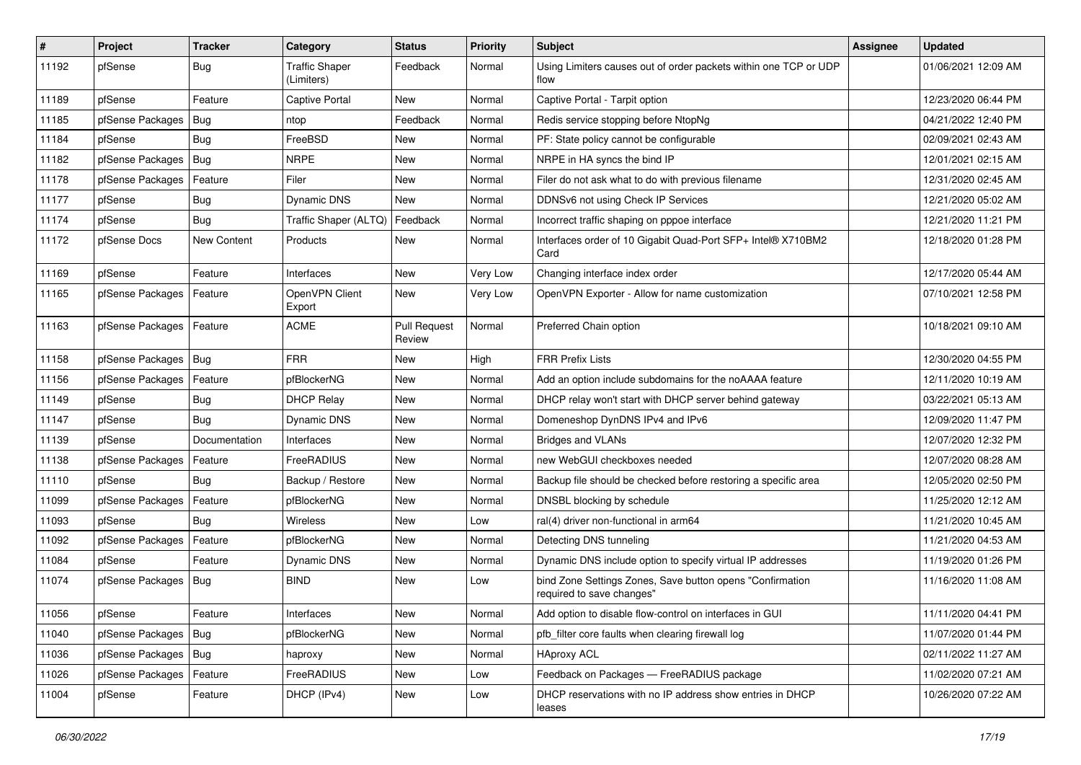| $\vert$ # | Project          | Tracker       | Category                            | <b>Status</b>                 | <b>Priority</b> | <b>Subject</b>                                                                         | <b>Assignee</b> | <b>Updated</b>      |
|-----------|------------------|---------------|-------------------------------------|-------------------------------|-----------------|----------------------------------------------------------------------------------------|-----------------|---------------------|
| 11192     | pfSense          | <b>Bug</b>    | <b>Traffic Shaper</b><br>(Limiters) | Feedback                      | Normal          | Using Limiters causes out of order packets within one TCP or UDP<br>flow               |                 | 01/06/2021 12:09 AM |
| 11189     | pfSense          | Feature       | <b>Captive Portal</b>               | New                           | Normal          | Captive Portal - Tarpit option                                                         |                 | 12/23/2020 06:44 PM |
| 11185     | pfSense Packages | Bug           | ntop                                | Feedback                      | Normal          | Redis service stopping before NtopNg                                                   |                 | 04/21/2022 12:40 PM |
| 11184     | pfSense          | <b>Bug</b>    | FreeBSD                             | <b>New</b>                    | Normal          | PF: State policy cannot be configurable                                                |                 | 02/09/2021 02:43 AM |
| 11182     | pfSense Packages | Bug           | <b>NRPE</b>                         | New                           | Normal          | NRPE in HA syncs the bind IP                                                           |                 | 12/01/2021 02:15 AM |
| 11178     | pfSense Packages | Feature       | Filer                               | <b>New</b>                    | Normal          | Filer do not ask what to do with previous filename                                     |                 | 12/31/2020 02:45 AM |
| 11177     | pfSense          | Bug           | <b>Dynamic DNS</b>                  | New                           | Normal          | DDNSv6 not using Check IP Services                                                     |                 | 12/21/2020 05:02 AM |
| 11174     | pfSense          | Bug           | Traffic Shaper (ALTQ)               | Feedback                      | Normal          | Incorrect traffic shaping on pppoe interface                                           |                 | 12/21/2020 11:21 PM |
| 11172     | pfSense Docs     | New Content   | Products                            | <b>New</b>                    | Normal          | Interfaces order of 10 Gigabit Quad-Port SFP+ Intel® X710BM2<br>Card                   |                 | 12/18/2020 01:28 PM |
| 11169     | pfSense          | Feature       | Interfaces                          | <b>New</b>                    | Very Low        | Changing interface index order                                                         |                 | 12/17/2020 05:44 AM |
| 11165     | pfSense Packages | Feature       | OpenVPN Client<br>Export            | <b>New</b>                    | Very Low        | OpenVPN Exporter - Allow for name customization                                        |                 | 07/10/2021 12:58 PM |
| 11163     | pfSense Packages | Feature       | <b>ACME</b>                         | <b>Pull Request</b><br>Review | Normal          | Preferred Chain option                                                                 |                 | 10/18/2021 09:10 AM |
| 11158     | pfSense Packages | Bug           | <b>FRR</b>                          | New                           | High            | <b>FRR Prefix Lists</b>                                                                |                 | 12/30/2020 04:55 PM |
| 11156     | pfSense Packages | Feature       | pfBlockerNG                         | <b>New</b>                    | Normal          | Add an option include subdomains for the noAAAA feature                                |                 | 12/11/2020 10:19 AM |
| 11149     | pfSense          | <b>Bug</b>    | <b>DHCP Relay</b>                   | New                           | Normal          | DHCP relay won't start with DHCP server behind gateway                                 |                 | 03/22/2021 05:13 AM |
| 11147     | pfSense          | Bug           | <b>Dynamic DNS</b>                  | <b>New</b>                    | Normal          | Domeneshop DynDNS IPv4 and IPv6                                                        |                 | 12/09/2020 11:47 PM |
| 11139     | pfSense          | Documentation | Interfaces                          | <b>New</b>                    | Normal          | <b>Bridges and VLANs</b>                                                               |                 | 12/07/2020 12:32 PM |
| 11138     | pfSense Packages | Feature       | FreeRADIUS                          | New                           | Normal          | new WebGUI checkboxes needed                                                           |                 | 12/07/2020 08:28 AM |
| 11110     | pfSense          | Bug           | Backup / Restore                    | New                           | Normal          | Backup file should be checked before restoring a specific area                         |                 | 12/05/2020 02:50 PM |
| 11099     | pfSense Packages | Feature       | pfBlockerNG                         | New                           | Normal          | DNSBL blocking by schedule                                                             |                 | 11/25/2020 12:12 AM |
| 11093     | pfSense          | Bug           | Wireless                            | New                           | Low             | ral(4) driver non-functional in arm64                                                  |                 | 11/21/2020 10:45 AM |
| 11092     | pfSense Packages | Feature       | pfBlockerNG                         | <b>New</b>                    | Normal          | Detecting DNS tunneling                                                                |                 | 11/21/2020 04:53 AM |
| 11084     | pfSense          | Feature       | Dynamic DNS                         | New                           | Normal          | Dynamic DNS include option to specify virtual IP addresses                             |                 | 11/19/2020 01:26 PM |
| 11074     | pfSense Packages | Bug           | <b>BIND</b>                         | New                           | Low             | bind Zone Settings Zones, Save button opens "Confirmation<br>required to save changes" |                 | 11/16/2020 11:08 AM |
| 11056     | pfSense          | Feature       | Interfaces                          | New                           | Normal          | Add option to disable flow-control on interfaces in GUI                                |                 | 11/11/2020 04:41 PM |
| 11040     | pfSense Packages | Bug           | pfBlockerNG                         | New                           | Normal          | pfb filter core faults when clearing firewall log                                      |                 | 11/07/2020 01:44 PM |
| 11036     | pfSense Packages | Bug           | haproxy                             | New                           | Normal          | <b>HAproxy ACL</b>                                                                     |                 | 02/11/2022 11:27 AM |
| 11026     | pfSense Packages | Feature       | FreeRADIUS                          | New                           | Low             | Feedback on Packages - FreeRADIUS package                                              |                 | 11/02/2020 07:21 AM |
| 11004     | pfSense          | Feature       | DHCP (IPv4)                         | New                           | Low             | DHCP reservations with no IP address show entries in DHCP<br>leases                    |                 | 10/26/2020 07:22 AM |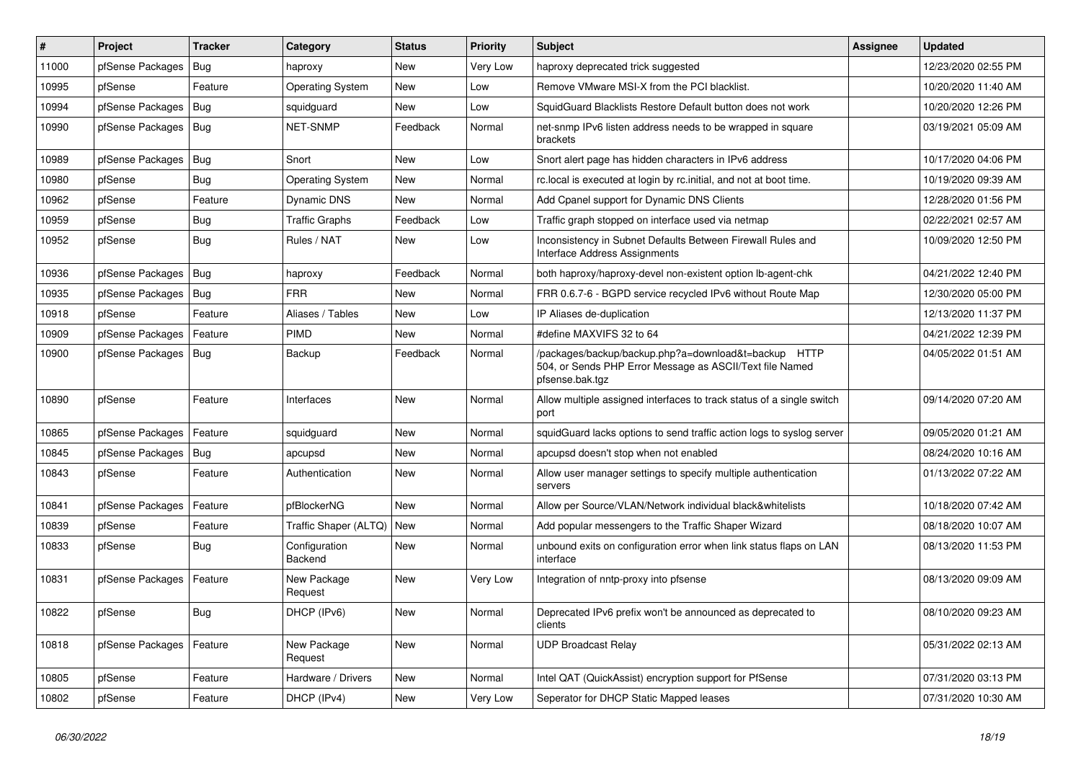| #     | Project                | <b>Tracker</b> | Category                 | <b>Status</b> | <b>Priority</b> | Subject                                                                                                                             | <b>Assignee</b> | <b>Updated</b>      |
|-------|------------------------|----------------|--------------------------|---------------|-----------------|-------------------------------------------------------------------------------------------------------------------------------------|-----------------|---------------------|
| 11000 | pfSense Packages       | Bug            | haproxy                  | New           | Very Low        | haproxy deprecated trick suggested                                                                                                  |                 | 12/23/2020 02:55 PM |
| 10995 | pfSense                | Feature        | <b>Operating System</b>  | New           | Low             | Remove VMware MSI-X from the PCI blacklist.                                                                                         |                 | 10/20/2020 11:40 AM |
| 10994 | pfSense Packages       | <b>Bug</b>     | squidguard               | New           | Low             | SquidGuard Blacklists Restore Default button does not work                                                                          |                 | 10/20/2020 12:26 PM |
| 10990 | pfSense Packages   Bug |                | NET-SNMP                 | Feedback      | Normal          | net-snmp IPv6 listen address needs to be wrapped in square<br>brackets                                                              |                 | 03/19/2021 05:09 AM |
| 10989 | pfSense Packages       | Bug            | Snort                    | <b>New</b>    | Low             | Snort alert page has hidden characters in IPv6 address                                                                              |                 | 10/17/2020 04:06 PM |
| 10980 | pfSense                | Bug            | <b>Operating System</b>  | New           | Normal          | rc.local is executed at login by rc.initial, and not at boot time.                                                                  |                 | 10/19/2020 09:39 AM |
| 10962 | pfSense                | Feature        | <b>Dynamic DNS</b>       | <b>New</b>    | Normal          | Add Cpanel support for Dynamic DNS Clients                                                                                          |                 | 12/28/2020 01:56 PM |
| 10959 | pfSense                | Bug            | <b>Traffic Graphs</b>    | Feedback      | Low             | Traffic graph stopped on interface used via netmap                                                                                  |                 | 02/22/2021 02:57 AM |
| 10952 | pfSense                | Bug            | Rules / NAT              | <b>New</b>    | Low             | Inconsistency in Subnet Defaults Between Firewall Rules and<br>Interface Address Assignments                                        |                 | 10/09/2020 12:50 PM |
| 10936 | pfSense Packages       | $ $ Bug        | haproxy                  | Feedback      | Normal          | both haproxy/haproxy-devel non-existent option Ib-agent-chk                                                                         |                 | 04/21/2022 12:40 PM |
| 10935 | pfSense Packages       | Bug            | <b>FRR</b>               | <b>New</b>    | Normal          | FRR 0.6.7-6 - BGPD service recycled IPv6 without Route Map                                                                          |                 | 12/30/2020 05:00 PM |
| 10918 | pfSense                | Feature        | Aliases / Tables         | <b>New</b>    | Low             | IP Aliases de-duplication                                                                                                           |                 | 12/13/2020 11:37 PM |
| 10909 | pfSense Packages       | Feature        | <b>PIMD</b>              | New           | Normal          | #define MAXVIFS 32 to 64                                                                                                            |                 | 04/21/2022 12:39 PM |
| 10900 | pfSense Packages       | <b>Bug</b>     | Backup                   | Feedback      | Normal          | /packages/backup/backup.php?a=download&t=backup HTTP<br>504, or Sends PHP Error Message as ASCII/Text file Named<br>pfsense.bak.tgz |                 | 04/05/2022 01:51 AM |
| 10890 | pfSense                | Feature        | Interfaces               | New           | Normal          | Allow multiple assigned interfaces to track status of a single switch<br>port                                                       |                 | 09/14/2020 07:20 AM |
| 10865 | pfSense Packages       | Feature        | squidguard               | <b>New</b>    | Normal          | squidGuard lacks options to send traffic action logs to syslog server                                                               |                 | 09/05/2020 01:21 AM |
| 10845 | pfSense Packages       | Bug            | apcupsd                  | New           | Normal          | apcupsd doesn't stop when not enabled                                                                                               |                 | 08/24/2020 10:16 AM |
| 10843 | pfSense                | Feature        | Authentication           | New           | Normal          | Allow user manager settings to specify multiple authentication<br>servers                                                           |                 | 01/13/2022 07:22 AM |
| 10841 | pfSense Packages       | Feature        | pfBlockerNG              | <b>New</b>    | Normal          | Allow per Source/VLAN/Network individual black&whitelists                                                                           |                 | 10/18/2020 07:42 AM |
| 10839 | pfSense                | Feature        | Traffic Shaper (ALTQ)    | New           | Normal          | Add popular messengers to the Traffic Shaper Wizard                                                                                 |                 | 08/18/2020 10:07 AM |
| 10833 | pfSense                | <b>Bug</b>     | Configuration<br>Backend | New           | Normal          | unbound exits on configuration error when link status flaps on LAN<br>interface                                                     |                 | 08/13/2020 11:53 PM |
| 10831 | pfSense Packages       | Feature        | New Package<br>Request   | New           | Very Low        | Integration of nntp-proxy into pfsense                                                                                              |                 | 08/13/2020 09:09 AM |
| 10822 | pfSense                | <b>Bug</b>     | DHCP (IPv6)              | New           | Normal          | Deprecated IPv6 prefix won't be announced as deprecated to<br>clients                                                               |                 | 08/10/2020 09:23 AM |
| 10818 | pfSense Packages       | Feature        | New Package<br>Request   | New           | Normal          | <b>UDP Broadcast Relay</b>                                                                                                          |                 | 05/31/2022 02:13 AM |
| 10805 | pfSense                | Feature        | Hardware / Drivers       | New           | Normal          | Intel QAT (QuickAssist) encryption support for PfSense                                                                              |                 | 07/31/2020 03:13 PM |
| 10802 | pfSense                | Feature        | DHCP (IPv4)              | New           | Very Low        | Seperator for DHCP Static Mapped leases                                                                                             |                 | 07/31/2020 10:30 AM |